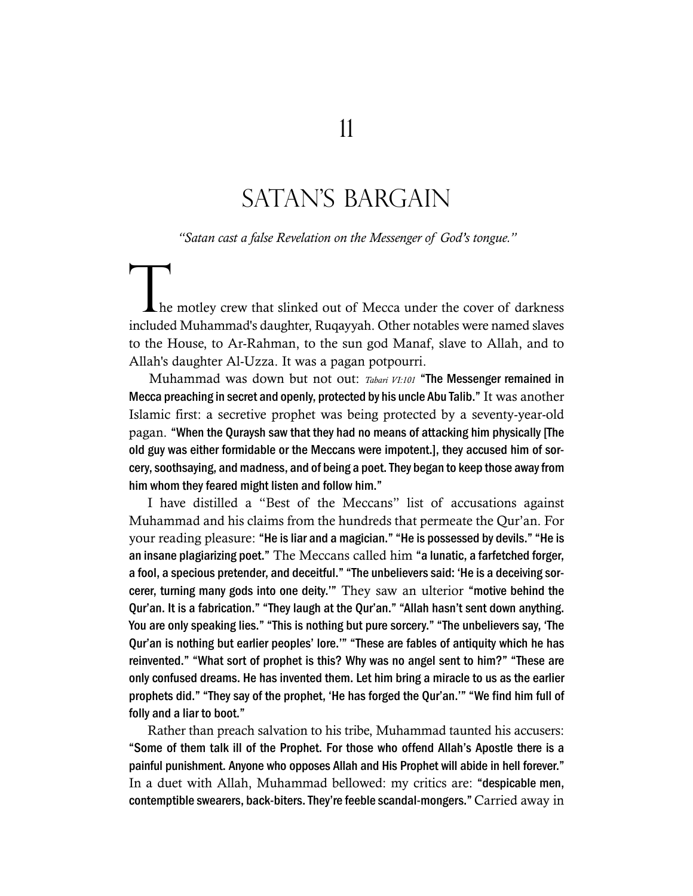## SATAN'S BARGAIN

*"Satan cast a false Revelation on the Messenger of God's tongue."*

 $\blacksquare$  he motley crew that slinked out of Mecca under the cover of darkness included Muhammad's daughter, Ruqayyah. Other notables were named slaves to the House, to Ar-Rahman, to the sun god Manaf, slave to Allah, and to Allah's daughter Al-Uzza. It was a pagan potpourri.

Muhammad was down but not out: *Tabari VI:101* "The Messenger remained in Mecca preaching in secret and openly, protected by his uncle Abu Talib." It was another Islamic first: a secretive prophet was being protected by a seventy-year-old pagan. "When the Quraysh saw that they had no means of attacking him physically [The old guy was either formidable or the Meccans were impotent.], they accused him of sorcery, soothsaying, and madness, and of being a poet. They began to keep those away from him whom they feared might listen and follow him."

I have distilled a "Best of the Meccans" list of accusations against Muhammad and his claims from the hundreds that permeate the Qur'an. For your reading pleasure: "He is liar and a magician." "He is possessed by devils." "He is an insane plagiarizing poet." The Meccans called him "a lunatic, a farfetched forger, a fool, a specious pretender, and deceitful." "The unbelievers said: 'He is a deceiving sorcerer, turning many gods into one deity.'" They saw an ulterior "motive behind the Qur'an. It is a fabrication." "They laugh at the Qur'an." "Allah hasn't sent down anything. You are only speaking lies." "This is nothing but pure sorcery." "The unbelievers say, 'The Qur'an is nothing but earlier peoples' lore.'" "These are fables of antiquity which he has reinvented." "What sort of prophet is this? Why was no angel sent to him?" "These are only confused dreams. He has invented them. Let him bring a miracle to us as the earlier prophets did." "They say of the prophet, 'He has forged the Qur'an.'" "We find him full of folly and a liar to boot."

Rather than preach salvation to his tribe, Muhammad taunted his accusers: "Some of them talk ill of the Prophet. For those who offend Allah's Apostle there is a painful punishment. Anyone who opposes Allah and His Prophet will abide in hell forever." In a duet with Allah, Muhammad bellowed: my critics are: "despicable men, contemptible swearers, back-biters. They're feeble scandal-mongers." Carried away in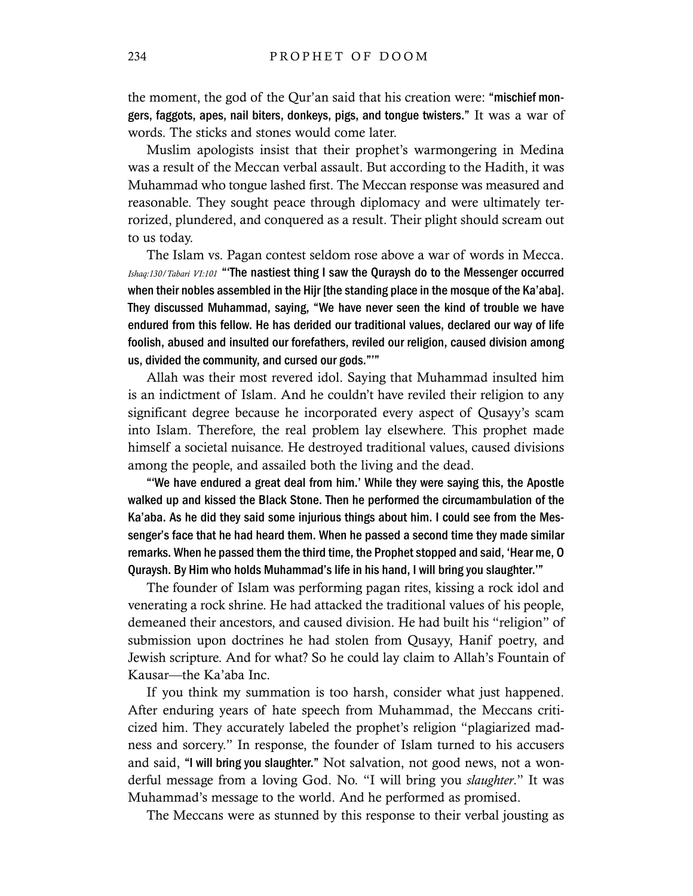the moment, the god of the Qur'an said that his creation were: "mischief mongers, faggots, apes, nail biters, donkeys, pigs, and tongue twisters." It was a war of words. The sticks and stones would come later.

Muslim apologists insist that their prophet's warmongering in Medina was a result of the Meccan verbal assault. But according to the Hadith, it was Muhammad who tongue lashed first. The Meccan response was measured and reasonable. They sought peace through diplomacy and were ultimately terrorized, plundered, and conquered as a result. Their plight should scream out to us today.

The Islam vs. Pagan contest seldom rose above a war of words in Mecca. *Ishaq:130/Tabari VI:101* "'The nastiest thing I saw the Quraysh do to the Messenger occurred when their nobles assembled in the Hijr [the standing place in the mosque of the Ka'aba]. They discussed Muhammad, saying, "We have never seen the kind of trouble we have endured from this fellow. He has derided our traditional values, declared our way of life foolish, abused and insulted our forefathers, reviled our religion, caused division among us, divided the community, and cursed our gods."'"

Allah was their most revered idol. Saying that Muhammad insulted him is an indictment of Islam. And he couldn't have reviled their religion to any significant degree because he incorporated every aspect of Qusayy's scam into Islam. Therefore, the real problem lay elsewhere. This prophet made himself a societal nuisance. He destroyed traditional values, caused divisions among the people, and assailed both the living and the dead.

"'We have endured a great deal from him.' While they were saying this, the Apostle walked up and kissed the Black Stone. Then he performed the circumambulation of the Ka'aba. As he did they said some injurious things about him. I could see from the Messenger's face that he had heard them. When he passed a second time they made similar remarks. When he passed them the third time, the Prophet stopped and said, 'Hear me, O Quraysh. By Him who holds Muhammad's life in his hand, I will bring you slaughter.'"

The founder of Islam was performing pagan rites, kissing a rock idol and venerating a rock shrine. He had attacked the traditional values of his people, demeaned their ancestors, and caused division. He had built his "religion" of submission upon doctrines he had stolen from Qusayy, Hanif poetry, and Jewish scripture. And for what? So he could lay claim to Allah's Fountain of Kausar—the Ka'aba Inc.

If you think my summation is too harsh, consider what just happened. After enduring years of hate speech from Muhammad, the Meccans criticized him. They accurately labeled the prophet's religion "plagiarized madness and sorcery." In response, the founder of Islam turned to his accusers and said, "I will bring you slaughter." Not salvation, not good news, not a wonderful message from a loving God. No. "I will bring you *slaughter*." It was Muhammad's message to the world. And he performed as promised.

The Meccans were as stunned by this response to their verbal jousting as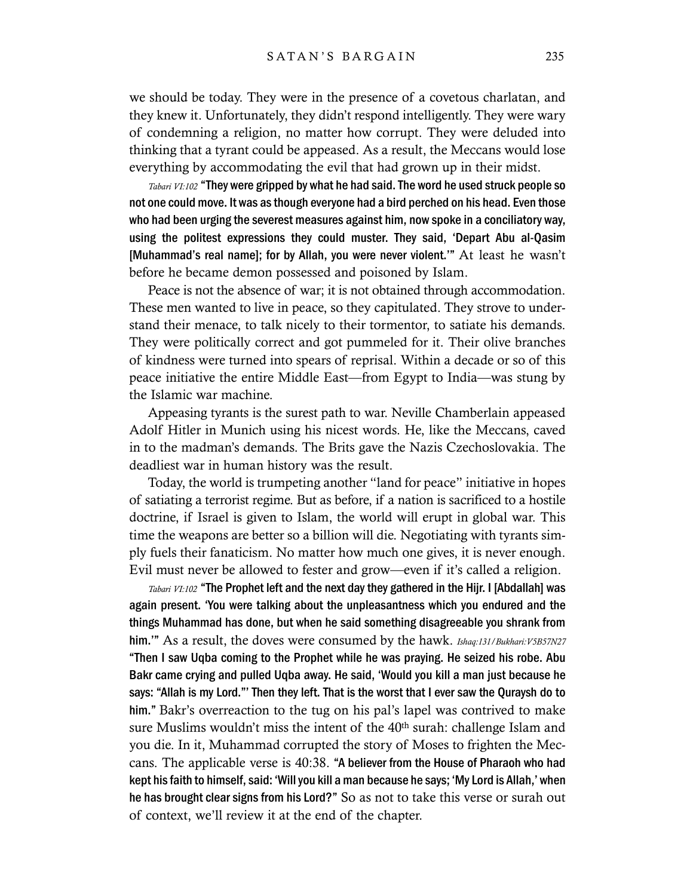we should be today. They were in the presence of a covetous charlatan, and they knew it. Unfortunately, they didn't respond intelligently. They were wary of condemning a religion, no matter how corrupt. They were deluded into thinking that a tyrant could be appeased. As a result, the Meccans would lose everything by accommodating the evil that had grown up in their midst.

*Tabari VI:102* "They were gripped by what he had said. The word he used struck people so not one could move. It was as though everyone had a bird perched on his head. Even those who had been urging the severest measures against him, now spoke in a conciliatory way, using the politest expressions they could muster. They said, 'Depart Abu al-Qasim [Muhammad's real name]; for by Allah, you were never violent.'" At least he wasn't before he became demon possessed and poisoned by Islam.

Peace is not the absence of war; it is not obtained through accommodation. These men wanted to live in peace, so they capitulated. They strove to understand their menace, to talk nicely to their tormentor, to satiate his demands. They were politically correct and got pummeled for it. Their olive branches of kindness were turned into spears of reprisal. Within a decade or so of this peace initiative the entire Middle East—from Egypt to India—was stung by the Islamic war machine.

Appeasing tyrants is the surest path to war. Neville Chamberlain appeased Adolf Hitler in Munich using his nicest words. He, like the Meccans, caved in to the madman's demands. The Brits gave the Nazis Czechoslovakia. The deadliest war in human history was the result.

Today, the world is trumpeting another "land for peace" initiative in hopes of satiating a terrorist regime. But as before, if a nation is sacrificed to a hostile doctrine, if Israel is given to Islam, the world will erupt in global war. This time the weapons are better so a billion will die. Negotiating with tyrants simply fuels their fanaticism. No matter how much one gives, it is never enough. Evil must never be allowed to fester and grow—even if it's called a religion.

*Tabari VI:102* "The Prophet left and the next day they gathered in the Hijr. I [Abdallah] was again present. 'You were talking about the unpleasantness which you endured and the things Muhammad has done, but when he said something disagreeable you shrank from him.'" As a result, the doves were consumed by the hawk. *Ishaq:131/Bukhari:V5B57N27* "Then I saw Uqba coming to the Prophet while he was praying. He seized his robe. Abu Bakr came crying and pulled Uqba away. He said, 'Would you kill a man just because he says: "Allah is my Lord."' Then they left. That is the worst that I ever saw the Quraysh do to him." Bakr's overreaction to the tug on his pal's lapel was contrived to make sure Muslims wouldn't miss the intent of the 40<sup>th</sup> surah: challenge Islam and you die. In it, Muhammad corrupted the story of Moses to frighten the Meccans. The applicable verse is 40:38. "A believer from the House of Pharaoh who had kept his faith to himself, said: 'Will you kill a man because he says; 'My Lord is Allah,' when he has brought clear signs from his Lord?" So as not to take this verse or surah out of context, we'll review it at the end of the chapter.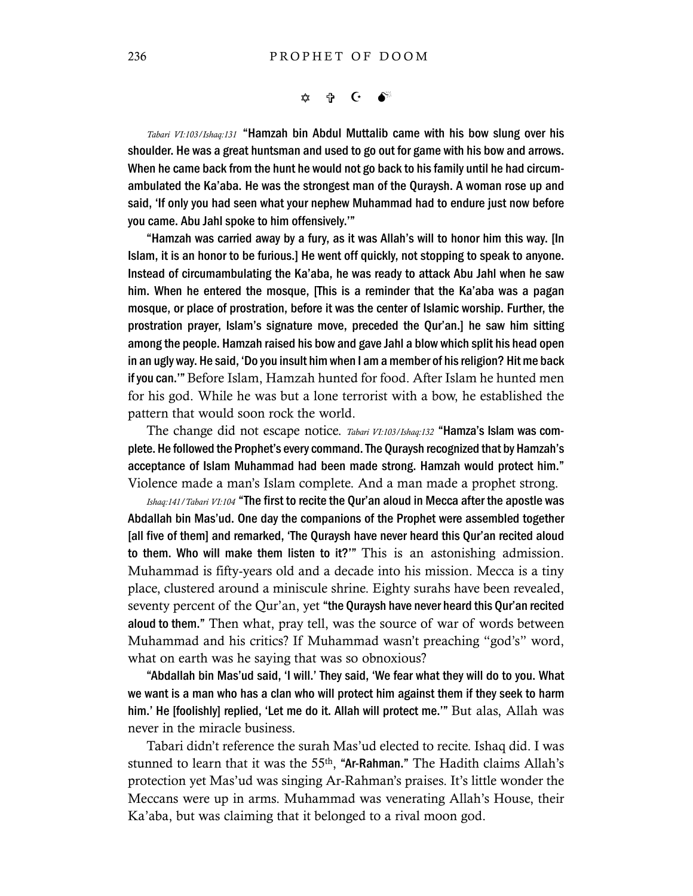@ = A 0

*Tabari VI:103/Ishaq:131* "Hamzah bin Abdul Muttalib came with his bow slung over his shoulder. He was a great huntsman and used to go out for game with his bow and arrows. When he came back from the hunt he would not go back to his family until he had circumambulated the Ka'aba. He was the strongest man of the Quraysh. A woman rose up and said, 'If only you had seen what your nephew Muhammad had to endure just now before you came. Abu Jahl spoke to him offensively.'"

"Hamzah was carried away by a fury, as it was Allah's will to honor him this way. [In Islam, it is an honor to be furious.] He went off quickly, not stopping to speak to anyone. Instead of circumambulating the Ka'aba, he was ready to attack Abu Jahl when he saw him. When he entered the mosque, [This is a reminder that the Ka'aba was a pagan mosque, or place of prostration, before it was the center of Islamic worship. Further, the prostration prayer, Islam's signature move, preceded the Qur'an.] he saw him sitting among the people. Hamzah raised his bow and gave Jahl a blow which split his head open in an ugly way. He said, 'Do you insult him when I am a member of his religion? Hit me back if you can.'" Before Islam, Hamzah hunted for food. After Islam he hunted men for his god. While he was but a lone terrorist with a bow, he established the pattern that would soon rock the world.

The change did not escape notice. *Tabari VI:103/Ishaq:132* "Hamza's Islam was complete. He followed the Prophet's every command. The Quraysh recognized that by Hamzah's acceptance of Islam Muhammad had been made strong. Hamzah would protect him." Violence made a man's Islam complete. And a man made a prophet strong.

*Ishaq:141/Tabari VI:104* "The first to recite the Qur'an aloud in Mecca after the apostle was Abdallah bin Mas'ud. One day the companions of the Prophet were assembled together [all five of them] and remarked, 'The Quraysh have never heard this Qur'an recited aloud to them. Who will make them listen to it?'" This is an astonishing admission. Muhammad is fifty-years old and a decade into his mission. Mecca is a tiny place, clustered around a miniscule shrine. Eighty surahs have been revealed, seventy percent of the Qur'an, yet "the Quraysh have never heard this Qur'an recited aloud to them." Then what, pray tell, was the source of war of words between Muhammad and his critics? If Muhammad wasn't preaching "god's" word, what on earth was he saying that was so obnoxious?

"Abdallah bin Mas'ud said, 'I will.' They said, 'We fear what they will do to you. What we want is a man who has a clan who will protect him against them if they seek to harm him.' He [foolishly] replied, 'Let me do it. Allah will protect me.'" But alas, Allah was never in the miracle business.

Tabari didn't reference the surah Mas'ud elected to recite. Ishaq did. I was stunned to learn that it was the 55<sup>th</sup>, "Ar-Rahman." The Hadith claims Allah's protection yet Mas'ud was singing Ar-Rahman's praises. It's little wonder the Meccans were up in arms. Muhammad was venerating Allah's House, their Ka'aba, but was claiming that it belonged to a rival moon god.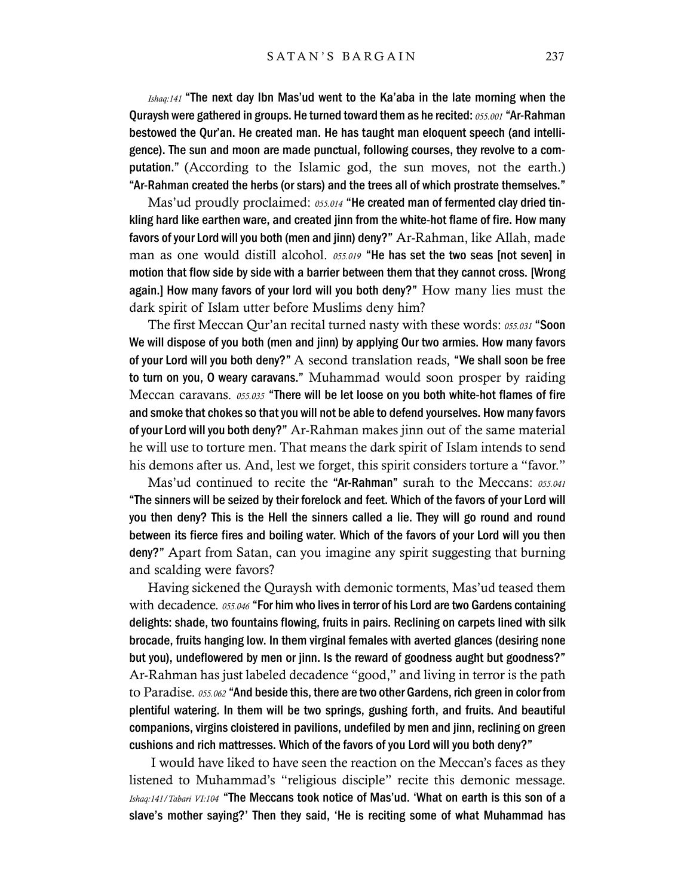*Ishaq:141* "The next day Ibn Mas'ud went to the Ka'aba in the late morning when the Quraysh were gathered in groups. He turned toward them as he recited: *055.001* "Ar-Rahman bestowed the Qur'an. He created man. He has taught man eloquent speech (and intelligence). The sun and moon are made punctual, following courses, they revolve to a computation." (According to the Islamic god, the sun moves, not the earth.) "Ar-Rahman created the herbs (or stars) and the trees all of which prostrate themselves."

Mas'ud proudly proclaimed: *055.014* "He created man of fermented clay dried tinkling hard like earthen ware, and created jinn from the white-hot flame of fire. How many favors of your Lord will you both (men and jinn) deny?" Ar-Rahman, like Allah, made man as one would distill alcohol. *055.019* "He has set the two seas [not seven] in motion that flow side by side with a barrier between them that they cannot cross. [Wrong again.] How many favors of your lord will you both deny?" How many lies must the dark spirit of Islam utter before Muslims deny him?

The first Meccan Qur'an recital turned nasty with these words: *055.031* "Soon We will dispose of you both (men and jinn) by applying Our two armies. How many favors of your Lord will you both deny?" A second translation reads, "We shall soon be free to turn on you, O weary caravans." Muhammad would soon prosper by raiding Meccan caravans. *055.035* "There will be let loose on you both white-hot flames of fire and smoke that chokes so that you will not be able to defend yourselves. How many favors of your Lord will you both deny?" Ar-Rahman makes jinn out of the same material he will use to torture men. That means the dark spirit of Islam intends to send his demons after us. And, lest we forget, this spirit considers torture a "favor."

Mas'ud continued to recite the "Ar-Rahman" surah to the Meccans: *055.041* "The sinners will be seized by their forelock and feet. Which of the favors of your Lord will you then deny? This is the Hell the sinners called a lie. They will go round and round between its fierce fires and boiling water. Which of the favors of your Lord will you then deny?" Apart from Satan, can you imagine any spirit suggesting that burning and scalding were favors?

Having sickened the Quraysh with demonic torments, Mas'ud teased them with decadence. *055.046* "For him who lives in terror of his Lord are two Gardens containing delights: shade, two fountains flowing, fruits in pairs. Reclining on carpets lined with silk brocade, fruits hanging low. In them virginal females with averted glances (desiring none but you), undeflowered by men or jinn. Is the reward of goodness aught but goodness?" Ar-Rahman has just labeled decadence "good," and living in terror is the path to Paradise. *055.062* "And beside this, there are two other Gardens, rich green in color from plentiful watering. In them will be two springs, gushing forth, and fruits. And beautiful companions, virgins cloistered in pavilions, undefiled by men and jinn, reclining on green cushions and rich mattresses. Which of the favors of you Lord will you both deny?"

I would have liked to have seen the reaction on the Meccan's faces as they listened to Muhammad's "religious disciple" recite this demonic message. *Ishaq:141/Tabari VI:104* "The Meccans took notice of Mas'ud. 'What on earth is this son of a slave's mother saying?' Then they said, 'He is reciting some of what Muhammad has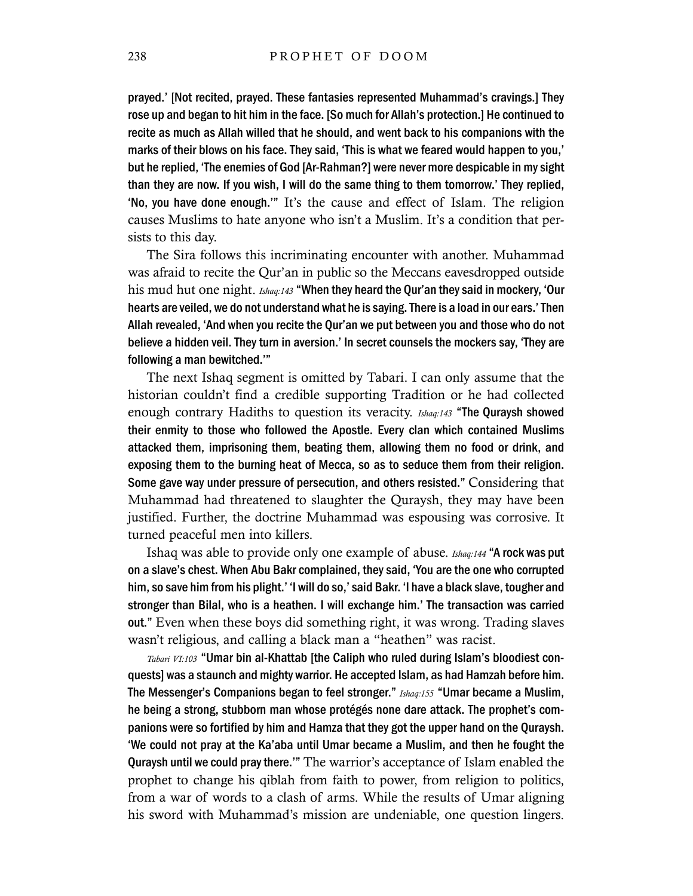prayed.' [Not recited, prayed. These fantasies represented Muhammad's cravings.] They rose up and began to hit him in the face. [So much for Allah's protection.] He continued to recite as much as Allah willed that he should, and went back to his companions with the marks of their blows on his face. They said, 'This is what we feared would happen to you,' but he replied, 'The enemies of God [Ar-Rahman?] were never more despicable in my sight than they are now. If you wish, I will do the same thing to them tomorrow.' They replied, 'No, you have done enough.'" It's the cause and effect of Islam. The religion causes Muslims to hate anyone who isn't a Muslim. It's a condition that persists to this day.

The Sira follows this incriminating encounter with another. Muhammad was afraid to recite the Qur'an in public so the Meccans eavesdropped outside his mud hut one night. *Ishaq:143* "When they heard the Qur'an they said in mockery, 'Our hearts are veiled, we do not understand what he is saying. There is a load in our ears.' Then Allah revealed, 'And when you recite the Qur'an we put between you and those who do not believe a hidden veil. They turn in aversion.' In secret counsels the mockers say, 'They are following a man bewitched.'"

The next Ishaq segment is omitted by Tabari. I can only assume that the historian couldn't find a credible supporting Tradition or he had collected enough contrary Hadiths to question its veracity. *Ishaq:143* "The Quraysh showed their enmity to those who followed the Apostle. Every clan which contained Muslims attacked them, imprisoning them, beating them, allowing them no food or drink, and exposing them to the burning heat of Mecca, so as to seduce them from their religion. Some gave way under pressure of persecution, and others resisted." Considering that Muhammad had threatened to slaughter the Quraysh, they may have been justified. Further, the doctrine Muhammad was espousing was corrosive. It turned peaceful men into killers.

Ishaq was able to provide only one example of abuse. *Ishaq:144* "A rock was put on a slave's chest. When Abu Bakr complained, they said, 'You are the one who corrupted him, so save him from his plight.' 'I will do so,' said Bakr. 'I have a black slave, tougher and stronger than Bilal, who is a heathen. I will exchange him.' The transaction was carried out." Even when these boys did something right, it was wrong. Trading slaves wasn't religious, and calling a black man a "heathen" was racist.

*Tabari VI:103* "Umar bin al-Khattab [the Caliph who ruled during Islam's bloodiest conquests] was a staunch and mighty warrior. He accepted Islam, as had Hamzah before him. The Messenger's Companions began to feel stronger." *Ishaq:155* "Umar became a Muslim, he being a strong, stubborn man whose protégés none dare attack. The prophet's companions were so fortified by him and Hamza that they got the upper hand on the Quraysh. 'We could not pray at the Ka'aba until Umar became a Muslim, and then he fought the Quraysh until we could pray there.'" The warrior's acceptance of Islam enabled the prophet to change his qiblah from faith to power, from religion to politics, from a war of words to a clash of arms. While the results of Umar aligning his sword with Muhammad's mission are undeniable, one question lingers.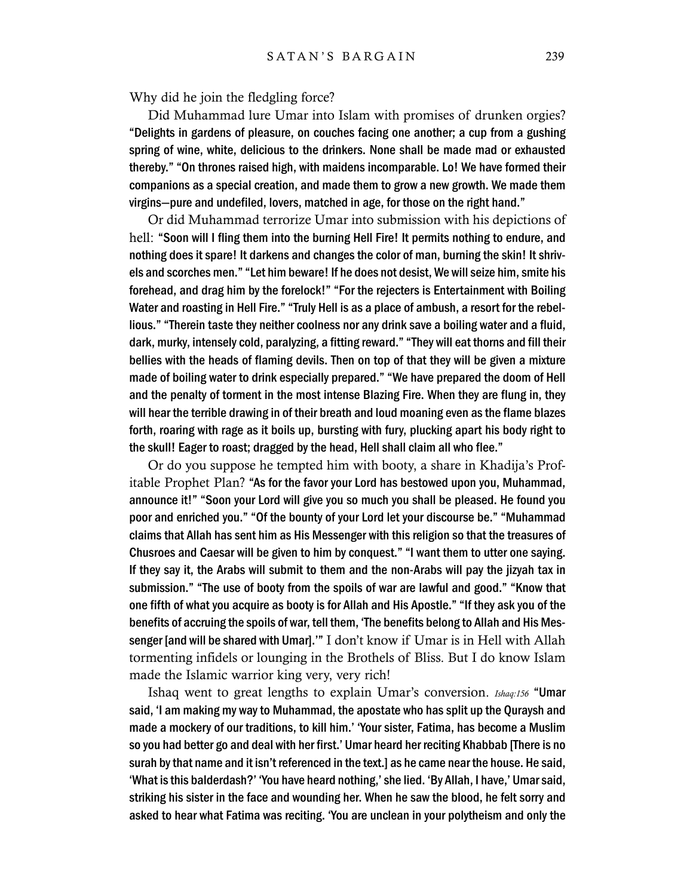Why did he join the fledgling force?

Did Muhammad lure Umar into Islam with promises of drunken orgies? "Delights in gardens of pleasure, on couches facing one another; a cup from a gushing spring of wine, white, delicious to the drinkers. None shall be made mad or exhausted thereby." "On thrones raised high, with maidens incomparable. Lo! We have formed their companions as a special creation, and made them to grow a new growth. We made them virgins—pure and undefiled, lovers, matched in age, for those on the right hand."

Or did Muhammad terrorize Umar into submission with his depictions of hell: "Soon will I fling them into the burning Hell Fire! It permits nothing to endure, and nothing does it spare! It darkens and changes the color of man, burning the skin! It shrivels and scorches men." "Let him beware! If he does not desist, We will seize him, smite his forehead, and drag him by the forelock!" "For the rejecters is Entertainment with Boiling Water and roasting in Hell Fire." "Truly Hell is as a place of ambush, a resort for the rebellious." "Therein taste they neither coolness nor any drink save a boiling water and a fluid, dark, murky, intensely cold, paralyzing, a fitting reward." "They will eat thorns and fill their bellies with the heads of flaming devils. Then on top of that they will be given a mixture made of boiling water to drink especially prepared." "We have prepared the doom of Hell and the penalty of torment in the most intense Blazing Fire. When they are flung in, they will hear the terrible drawing in of their breath and loud moaning even as the flame blazes forth, roaring with rage as it boils up, bursting with fury, plucking apart his body right to the skull! Eager to roast; dragged by the head, Hell shall claim all who flee."

Or do you suppose he tempted him with booty, a share in Khadija's Profitable Prophet Plan? "As for the favor your Lord has bestowed upon you, Muhammad, announce it!" "Soon your Lord will give you so much you shall be pleased. He found you poor and enriched you." "Of the bounty of your Lord let your discourse be." "Muhammad claims that Allah has sent him as His Messenger with this religion so that the treasures of Chusroes and Caesar will be given to him by conquest." "I want them to utter one saying. If they say it, the Arabs will submit to them and the non-Arabs will pay the jizyah tax in submission." "The use of booty from the spoils of war are lawful and good." "Know that one fifth of what you acquire as booty is for Allah and His Apostle." "If they ask you of the benefits of accruing the spoils of war, tell them, 'The benefits belong to Allah and His Messenger [and will be shared with Umar].'" I don't know if Umar is in Hell with Allah tormenting infidels or lounging in the Brothels of Bliss. But I do know Islam made the Islamic warrior king very, very rich!

Ishaq went to great lengths to explain Umar's conversion. *Ishaq:156* "Umar said, 'I am making my way to Muhammad, the apostate who has split up the Quraysh and made a mockery of our traditions, to kill him.' 'Your sister, Fatima, has become a Muslim so you had better go and deal with her first.' Umar heard her reciting Khabbab [There is no surah by that name and it isn't referenced in the text.] as he came near the house. He said, 'What is this balderdash?' 'You have heard nothing,' she lied. 'By Allah, I have,' Umar said, striking his sister in the face and wounding her. When he saw the blood, he felt sorry and asked to hear what Fatima was reciting. 'You are unclean in your polytheism and only the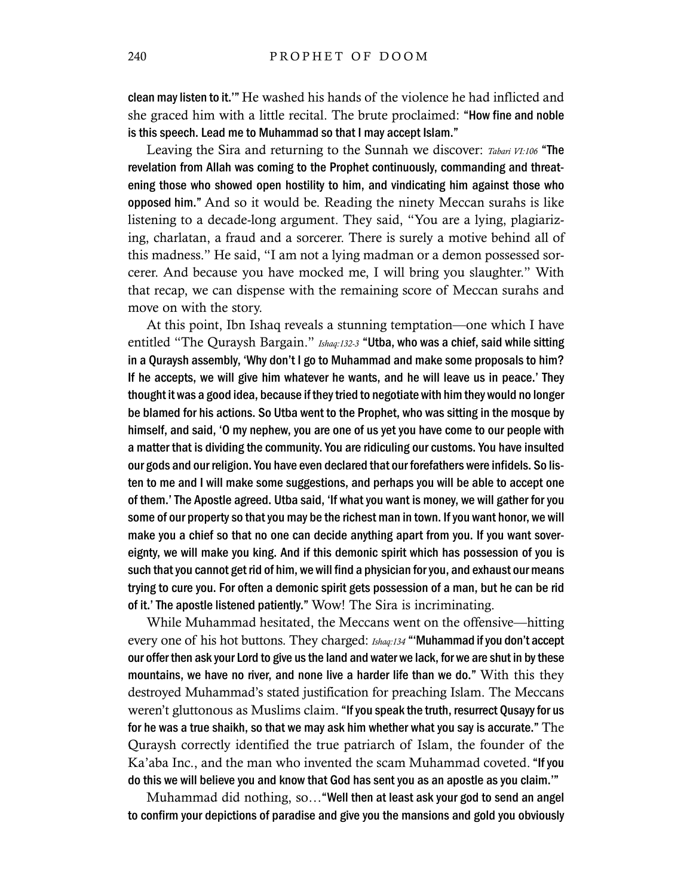clean may listen to it.'" He washed his hands of the violence he had inflicted and she graced him with a little recital. The brute proclaimed: "How fine and noble is this speech. Lead me to Muhammad so that I may accept Islam."

Leaving the Sira and returning to the Sunnah we discover: *Tabari VI:106* "The revelation from Allah was coming to the Prophet continuously, commanding and threatening those who showed open hostility to him, and vindicating him against those who opposed him." And so it would be. Reading the ninety Meccan surahs is like listening to a decade-long argument. They said, "You are a lying, plagiarizing, charlatan, a fraud and a sorcerer. There is surely a motive behind all of this madness." He said, "I am not a lying madman or a demon possessed sorcerer. And because you have mocked me, I will bring you slaughter." With that recap, we can dispense with the remaining score of Meccan surahs and move on with the story.

At this point, Ibn Ishaq reveals a stunning temptation—one which I have entitled "The Quraysh Bargain." *Ishaq:132-3* "Utba, who was a chief, said while sitting in a Quraysh assembly, 'Why don't I go to Muhammad and make some proposals to him? If he accepts, we will give him whatever he wants, and he will leave us in peace.' They thought it was a good idea, because if they tried to negotiate with him they would no longer be blamed for his actions. So Utba went to the Prophet, who was sitting in the mosque by himself, and said, 'O my nephew, you are one of us yet you have come to our people with a matter that is dividing the community. You are ridiculing our customs. You have insulted our gods and our religion. You have even declared that our forefathers were infidels. So listen to me and I will make some suggestions, and perhaps you will be able to accept one of them.' The Apostle agreed. Utba said, 'If what you want is money, we will gather for you some of our property so that you may be the richest man in town. If you want honor, we will make you a chief so that no one can decide anything apart from you. If you want sovereignty, we will make you king. And if this demonic spirit which has possession of you is such that you cannot get rid of him, we will find a physician for you, and exhaust our means trying to cure you. For often a demonic spirit gets possession of a man, but he can be rid of it.' The apostle listened patiently." Wow! The Sira is incriminating.

While Muhammad hesitated, the Meccans went on the offensive—hitting every one of his hot buttons. They charged: *Ishaq:134* "'Muhammad if you don't accept our offer then ask your Lord to give us the land and water we lack, for we are shut in by these mountains, we have no river, and none live a harder life than we do." With this they destroyed Muhammad's stated justification for preaching Islam. The Meccans weren't gluttonous as Muslims claim. "If you speak the truth, resurrect Qusayy for us for he was a true shaikh, so that we may ask him whether what you say is accurate." The Quraysh correctly identified the true patriarch of Islam, the founder of the Ka'aba Inc., and the man who invented the scam Muhammad coveted."If you do this we will believe you and know that God has sent you as an apostle as you claim.'"

Muhammad did nothing, so…"Well then at least ask your god to send an angel to confirm your depictions of paradise and give you the mansions and gold you obviously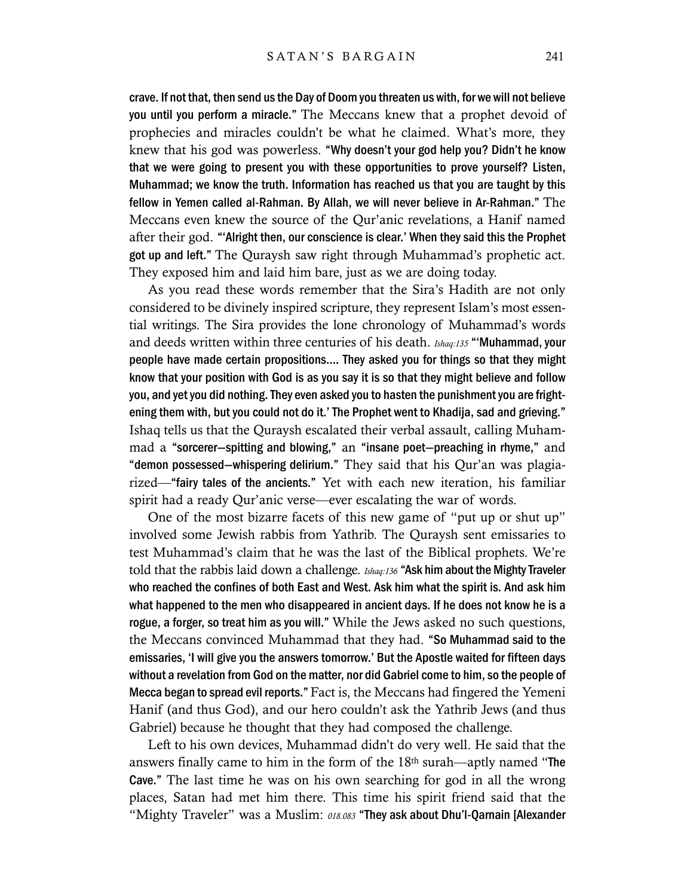crave. If not that, then send us the Day of Doom you threaten us with, for we will not believe you until you perform a miracle." The Meccans knew that a prophet devoid of prophecies and miracles couldn't be what he claimed. What's more, they knew that his god was powerless. "Why doesn't your god help you? Didn't he know that we were going to present you with these opportunities to prove yourself? Listen, Muhammad; we know the truth. Information has reached us that you are taught by this fellow in Yemen called al-Rahman. By Allah, we will never believe in Ar-Rahman." The Meccans even knew the source of the Qur'anic revelations, a Hanif named after their god. "'Alright then, our conscience is clear.' When they said this the Prophet got up and left." The Quraysh saw right through Muhammad's prophetic act. They exposed him and laid him bare, just as we are doing today.

As you read these words remember that the Sira's Hadith are not only considered to be divinely inspired scripture, they represent Islam's most essential writings. The Sira provides the lone chronology of Muhammad's words and deeds written within three centuries of his death. *Ishaq:135* "'Muhammad, your people have made certain propositions…. They asked you for things so that they might know that your position with God is as you say it is so that they might believe and follow you, and yet you did nothing. They even asked you to hasten the punishment you are frightening them with, but you could not do it.' The Prophet went to Khadija, sad and grieving." Ishaq tells us that the Quraysh escalated their verbal assault, calling Muhammad a "sorcerer—spitting and blowing," an "insane poet—preaching in rhyme," and "demon possessed—whispering delirium." They said that his Qur'an was plagiarized—"fairy tales of the ancients." Yet with each new iteration, his familiar spirit had a ready Qur'anic verse—ever escalating the war of words.

One of the most bizarre facets of this new game of "put up or shut up" involved some Jewish rabbis from Yathrib. The Quraysh sent emissaries to test Muhammad's claim that he was the last of the Biblical prophets. We're told that the rabbis laid down a challenge. *Ishaq:136* "Ask him about the Mighty Traveler who reached the confines of both East and West. Ask him what the spirit is. And ask him what happened to the men who disappeared in ancient days. If he does not know he is a rogue, a forger, so treat him as you will." While the Jews asked no such questions, the Meccans convinced Muhammad that they had. "So Muhammad said to the emissaries, 'I will give you the answers tomorrow.' But the Apostle waited for fifteen days without a revelation from God on the matter, nor did Gabriel come to him, so the people of Mecca began to spread evil reports." Fact is, the Meccans had fingered the Yemeni Hanif (and thus God), and our hero couldn't ask the Yathrib Jews (and thus Gabriel) because he thought that they had composed the challenge.

Left to his own devices, Muhammad didn't do very well. He said that the answers finally came to him in the form of the 18<sup>th</sup> surah—aptly named "The Cave." The last time he was on his own searching for god in all the wrong places, Satan had met him there. This time his spirit friend said that the "Mighty Traveler" was a Muslim: *018.083* "They ask about Dhu'l-Qarnain [Alexander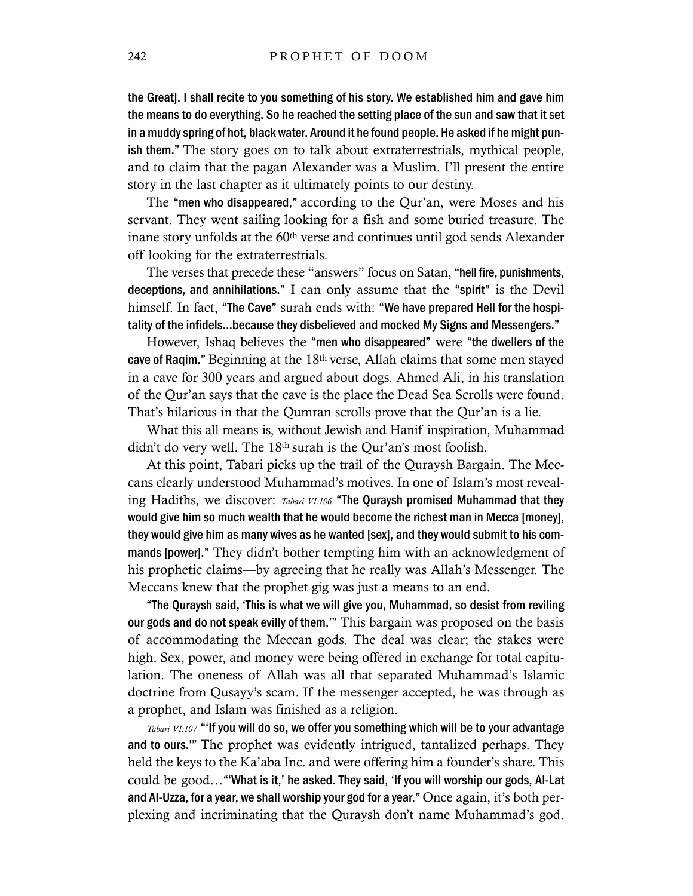the Great]. I shall recite to you something of his story. We established him and gave him the means to do everything. So he reached the setting place of the sun and saw that it set in a muddy spring of hot, black water. Around it he found people. He asked if he might punish them." The story goes on to talk about extraterrestrials, mythical people, and to claim that the pagan Alexander was a Muslim. I'll present the entire story in the last chapter as it ultimately points to our destiny.

The "men who disappeared," according to the Qur'an, were Moses and his servant. They went sailing looking for a fish and some buried treasure. The inane story unfolds at the 60<sup>th</sup> verse and continues until god sends Alexander off looking for the extraterrestrials.

The verses that precede these "answers" focus on Satan, "hell fire, punishments, deceptions, and annihilations." I can only assume that the "spirit" is the Devil himself. In fact, "The Cave" surah ends with: "We have prepared Hell for the hospitality of the infidels…because they disbelieved and mocked My Signs and Messengers."

However, Ishaq believes the "men who disappeared" were "the dwellers of the cave of Raqim." Beginning at the 18<sup>th</sup> verse, Allah claims that some men stayed in a cave for 300 years and argued about dogs. Ahmed Ali, in his translation of the Qur'an says that the cave is the place the Dead Sea Scrolls were found. That's hilarious in that the Qumran scrolls prove that the Qur'an is a lie.

What this all means is, without Jewish and Hanif inspiration, Muhammad didn't do very well. The 18th surah is the Qur'an's most foolish.

At this point, Tabari picks up the trail of the Quraysh Bargain. The Meccans clearly understood Muhammad's motives. In one of Islam's most revealing Hadiths, we discover: *Tabari VI:106* "The Quraysh promised Muhammad that they would give him so much wealth that he would become the richest man in Mecca [money], they would give him as many wives as he wanted [sex], and they would submit to his commands [power]." They didn't bother tempting him with an acknowledgment of his prophetic claims—by agreeing that he really was Allah's Messenger. The Meccans knew that the prophet gig was just a means to an end.

"The Quraysh said, 'This is what we will give you, Muhammad, so desist from reviling our gods and do not speak evilly of them.'" This bargain was proposed on the basis of accommodating the Meccan gods. The deal was clear; the stakes were high. Sex, power, and money were being offered in exchange for total capitulation. The oneness of Allah was all that separated Muhammad's Islamic doctrine from Qusayy's scam. If the messenger accepted, he was through as a prophet, and Islam was finished as a religion.

*Tabari VI:107* "'If you will do so, we offer you something which will be to your advantage and to ours.'" The prophet was evidently intrigued, tantalized perhaps. They held the keys to the Ka'aba Inc. and were offering him a founder's share. This could be good…"'What is it,' he asked. They said, 'If you will worship our gods, Al-Lat and Al-Uzza, for a year, we shall worship your god for a year." Once again, it's both perplexing and incriminating that the Quraysh don't name Muhammad's god.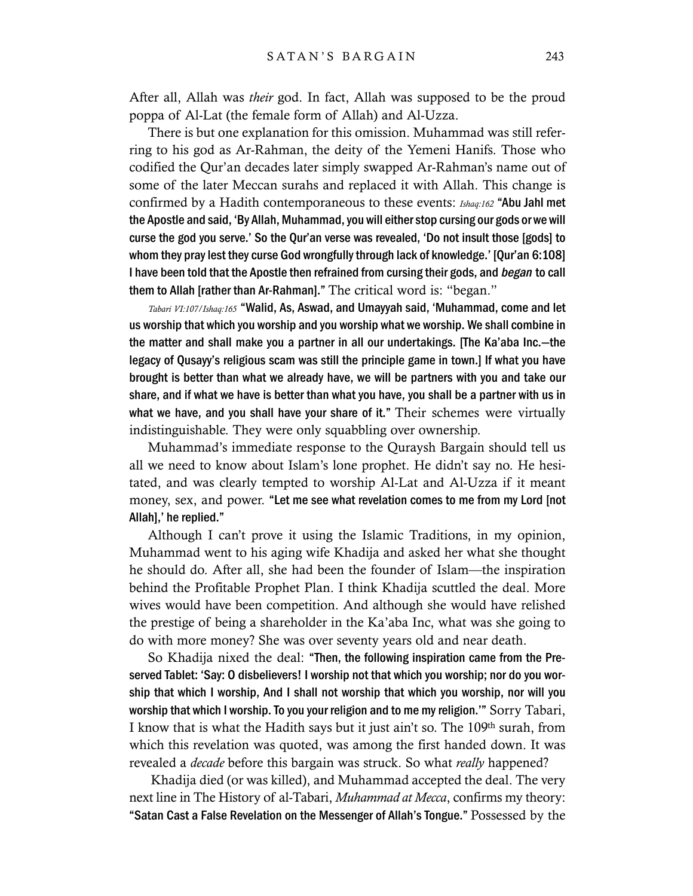After all, Allah was *their* god. In fact, Allah was supposed to be the proud poppa of Al-Lat (the female form of Allah) and Al-Uzza.

There is but one explanation for this omission. Muhammad was still referring to his god as Ar-Rahman, the deity of the Yemeni Hanifs. Those who codified the Qur'an decades later simply swapped Ar-Rahman's name out of some of the later Meccan surahs and replaced it with Allah. This change is confirmed by a Hadith contemporaneous to these events: *Ishaq:162* "Abu Jahl met the Apostle and said, 'By Allah, Muhammad, you will either stop cursing our gods or we will curse the god you serve.' So the Qur'an verse was revealed, 'Do not insult those [gods] to whom they pray lest they curse God wrongfully through lack of knowledge.' [Qur'an 6:108] I have been told that the Apostle then refrained from cursing their gods, and began to call them to Allah [rather than Ar-Rahman]." The critical word is: "began."

*Tabari VI:107/Ishaq:165* "Walid, As, Aswad, and Umayyah said, 'Muhammad, come and let us worship that which you worship and you worship what we worship. We shall combine in the matter and shall make you a partner in all our undertakings. [The Ka'aba Inc.—the legacy of Qusayy's religious scam was still the principle game in town.] If what you have brought is better than what we already have, we will be partners with you and take our share, and if what we have is better than what you have, you shall be a partner with us in what we have, and you shall have your share of it." Their schemes were virtually indistinguishable. They were only squabbling over ownership.

Muhammad's immediate response to the Quraysh Bargain should tell us all we need to know about Islam's lone prophet. He didn't say no. He hesitated, and was clearly tempted to worship Al-Lat and Al-Uzza if it meant money, sex, and power. "Let me see what revelation comes to me from my Lord [not Allah],' he replied."

Although I can't prove it using the Islamic Traditions, in my opinion, Muhammad went to his aging wife Khadija and asked her what she thought he should do. After all, she had been the founder of Islam—the inspiration behind the Profitable Prophet Plan. I think Khadija scuttled the deal. More wives would have been competition. And although she would have relished the prestige of being a shareholder in the Ka'aba Inc, what was she going to do with more money? She was over seventy years old and near death.

So Khadija nixed the deal: "Then, the following inspiration came from the Preserved Tablet: 'Say: O disbelievers! I worship not that which you worship; nor do you worship that which I worship, And I shall not worship that which you worship, nor will you worship that which I worship. To you your religion and to me my religion.'" Sorry Tabari, I know that is what the Hadith says but it just ain't so. The 109<sup>th</sup> surah, from which this revelation was quoted, was among the first handed down. It was revealed a *decade* before this bargain was struck. So what *really* happened?

Khadija died (or was killed), and Muhammad accepted the deal. The very next line in The History of al-Tabari, *Muhammad at Mecca*, confirms my theory: "Satan Cast a False Revelation on the Messenger of Allah's Tongue." Possessed by the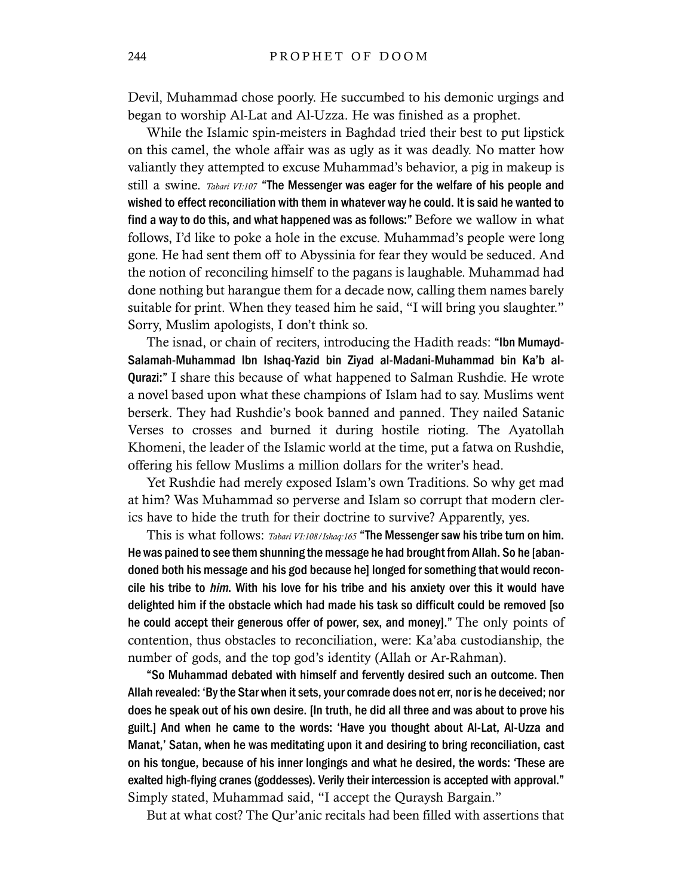Devil, Muhammad chose poorly. He succumbed to his demonic urgings and began to worship Al-Lat and Al-Uzza. He was finished as a prophet.

While the Islamic spin-meisters in Baghdad tried their best to put lipstick on this camel, the whole affair was as ugly as it was deadly. No matter how valiantly they attempted to excuse Muhammad's behavior, a pig in makeup is still a swine. *Tabari VI:107* "The Messenger was eager for the welfare of his people and wished to effect reconciliation with them in whatever way he could. It is said he wanted to find a way to do this, and what happened was as follows:" Before we wallow in what follows, I'd like to poke a hole in the excuse. Muhammad's people were long gone. He had sent them off to Abyssinia for fear they would be seduced. And the notion of reconciling himself to the pagans is laughable. Muhammad had done nothing but harangue them for a decade now, calling them names barely suitable for print. When they teased him he said, "I will bring you slaughter." Sorry, Muslim apologists, I don't think so.

The isnad, or chain of reciters, introducing the Hadith reads: "Ibn Mumayd-Salamah-Muhammad Ibn Ishaq-Yazid bin Ziyad al-Madani-Muhammad bin Ka'b al-Qurazi:" I share this because of what happened to Salman Rushdie. He wrote a novel based upon what these champions of Islam had to say. Muslims went berserk. They had Rushdie's book banned and panned. They nailed Satanic Verses to crosses and burned it during hostile rioting. The Ayatollah Khomeni, the leader of the Islamic world at the time, put a fatwa on Rushdie, offering his fellow Muslims a million dollars for the writer's head.

Yet Rushdie had merely exposed Islam's own Traditions. So why get mad at him? Was Muhammad so perverse and Islam so corrupt that modern clerics have to hide the truth for their doctrine to survive? Apparently, yes.

This is what follows: *Tabari VI:108/Ishaq:165* "The Messenger saw his tribe turn on him. He was pained to see them shunning the message he had brought from Allah. So he [abandoned both his message and his god because he] longed for something that would reconcile his tribe to *him*. With his love for his tribe and his anxiety over this it would have delighted him if the obstacle which had made his task so difficult could be removed [so he could accept their generous offer of power, sex, and money]." The only points of contention, thus obstacles to reconciliation, were: Ka'aba custodianship, the number of gods, and the top god's identity (Allah or Ar-Rahman).

"So Muhammad debated with himself and fervently desired such an outcome. Then Allah revealed: 'By the Star when it sets, your comrade does not err, nor is he deceived; nor does he speak out of his own desire. [In truth, he did all three and was about to prove his guilt.] And when he came to the words: 'Have you thought about Al-Lat, Al-Uzza and Manat,' Satan, when he was meditating upon it and desiring to bring reconciliation, cast on his tongue, because of his inner longings and what he desired, the words: 'These are exalted high-flying cranes (goddesses). Verily their intercession is accepted with approval." Simply stated, Muhammad said, "I accept the Quraysh Bargain."

But at what cost? The Qur'anic recitals had been filled with assertions that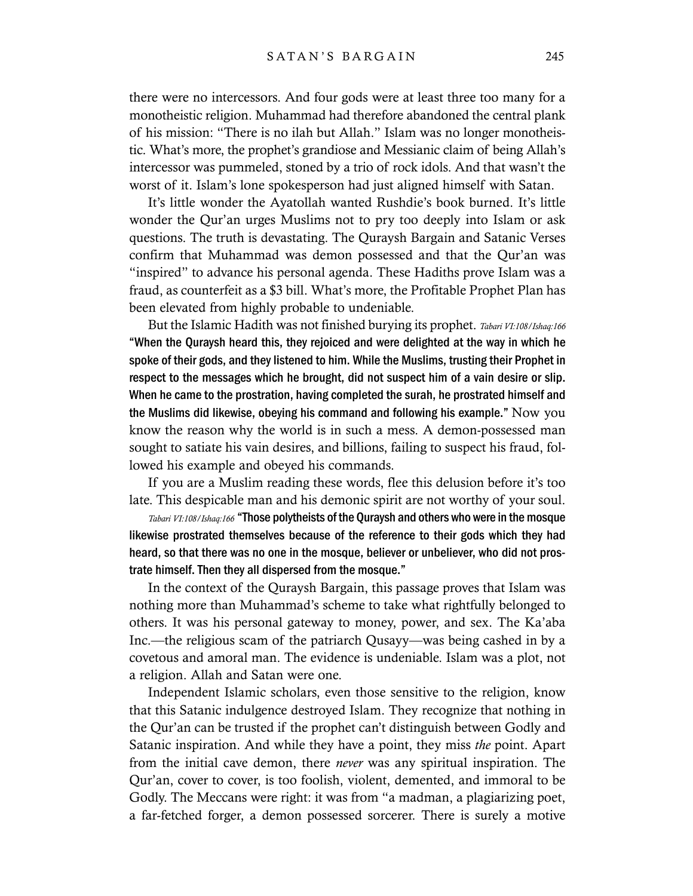there were no intercessors. And four gods were at least three too many for a monotheistic religion. Muhammad had therefore abandoned the central plank of his mission: "There is no ilah but Allah." Islam was no longer monotheistic. What's more, the prophet's grandiose and Messianic claim of being Allah's intercessor was pummeled, stoned by a trio of rock idols. And that wasn't the worst of it. Islam's lone spokesperson had just aligned himself with Satan.

It's little wonder the Ayatollah wanted Rushdie's book burned. It's little wonder the Qur'an urges Muslims not to pry too deeply into Islam or ask questions. The truth is devastating. The Quraysh Bargain and Satanic Verses confirm that Muhammad was demon possessed and that the Qur'an was "inspired" to advance his personal agenda. These Hadiths prove Islam was a fraud, as counterfeit as a \$3 bill. What's more, the Profitable Prophet Plan has been elevated from highly probable to undeniable.

But the Islamic Hadith was not finished burying its prophet. *Tabari VI:108/Ishaq:166* "When the Quraysh heard this, they rejoiced and were delighted at the way in which he spoke of their gods, and they listened to him. While the Muslims, trusting their Prophet in respect to the messages which he brought, did not suspect him of a vain desire or slip. When he came to the prostration, having completed the surah, he prostrated himself and the Muslims did likewise, obeying his command and following his example." Now you know the reason why the world is in such a mess. A demon-possessed man sought to satiate his vain desires, and billions, failing to suspect his fraud, followed his example and obeyed his commands.

If you are a Muslim reading these words, flee this delusion before it's too late. This despicable man and his demonic spirit are not worthy of your soul.

*Tabari VI:108/Ishaq:166* "Those polytheists of the Quraysh and others who were in the mosque likewise prostrated themselves because of the reference to their gods which they had heard, so that there was no one in the mosque, believer or unbeliever, who did not prostrate himself. Then they all dispersed from the mosque."

In the context of the Quraysh Bargain, this passage proves that Islam was nothing more than Muhammad's scheme to take what rightfully belonged to others. It was his personal gateway to money, power, and sex. The Ka'aba Inc.—the religious scam of the patriarch Qusayy—was being cashed in by a covetous and amoral man. The evidence is undeniable. Islam was a plot, not a religion. Allah and Satan were one.

Independent Islamic scholars, even those sensitive to the religion, know that this Satanic indulgence destroyed Islam. They recognize that nothing in the Qur'an can be trusted if the prophet can't distinguish between Godly and Satanic inspiration. And while they have a point, they miss *the* point. Apart from the initial cave demon, there *never* was any spiritual inspiration. The Qur'an, cover to cover, is too foolish, violent, demented, and immoral to be Godly. The Meccans were right: it was from "a madman, a plagiarizing poet, a far-fetched forger, a demon possessed sorcerer. There is surely a motive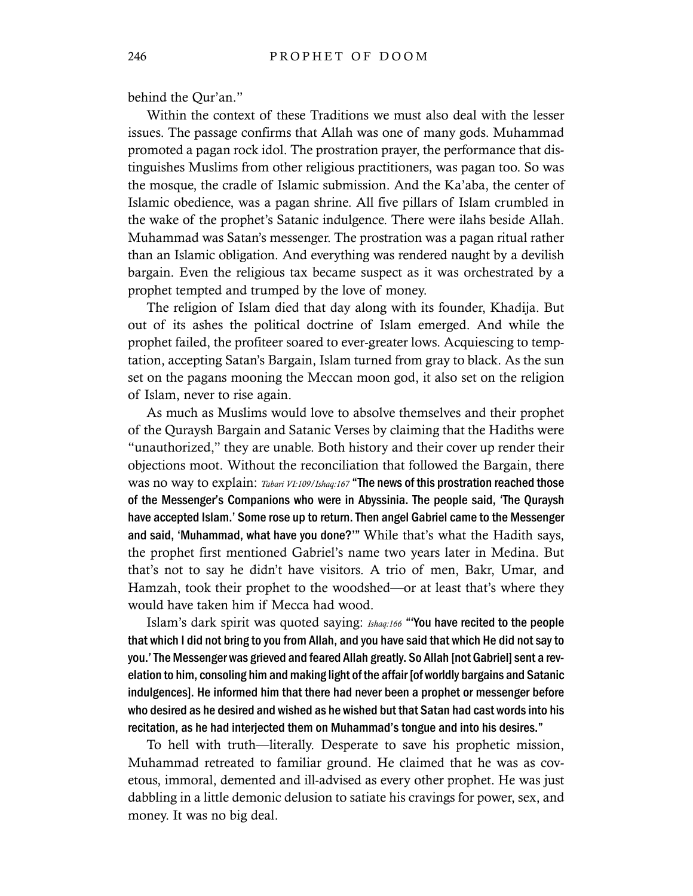behind the Qur'an."

Within the context of these Traditions we must also deal with the lesser issues. The passage confirms that Allah was one of many gods. Muhammad promoted a pagan rock idol. The prostration prayer, the performance that distinguishes Muslims from other religious practitioners, was pagan too. So was the mosque, the cradle of Islamic submission. And the Ka'aba, the center of Islamic obedience, was a pagan shrine. All five pillars of Islam crumbled in the wake of the prophet's Satanic indulgence. There were ilahs beside Allah. Muhammad was Satan's messenger. The prostration was a pagan ritual rather than an Islamic obligation. And everything was rendered naught by a devilish bargain. Even the religious tax became suspect as it was orchestrated by a prophet tempted and trumped by the love of money.

The religion of Islam died that day along with its founder, Khadija. But out of its ashes the political doctrine of Islam emerged. And while the prophet failed, the profiteer soared to ever-greater lows. Acquiescing to temptation, accepting Satan's Bargain, Islam turned from gray to black. As the sun set on the pagans mooning the Meccan moon god, it also set on the religion of Islam, never to rise again.

As much as Muslims would love to absolve themselves and their prophet of the Quraysh Bargain and Satanic Verses by claiming that the Hadiths were "unauthorized," they are unable. Both history and their cover up render their objections moot. Without the reconciliation that followed the Bargain, there was no way to explain: *Tabari VI:109/Ishaq:167* "The news of this prostration reached those of the Messenger's Companions who were in Abyssinia. The people said, 'The Quraysh have accepted Islam.' Some rose up to return. Then angel Gabriel came to the Messenger and said, 'Muhammad, what have you done?'" While that's what the Hadith says, the prophet first mentioned Gabriel's name two years later in Medina. But that's not to say he didn't have visitors. A trio of men, Bakr, Umar, and Hamzah, took their prophet to the woodshed—or at least that's where they would have taken him if Mecca had wood.

Islam's dark spirit was quoted saying: *Ishaq:166* "'You have recited to the people that which I did not bring to you from Allah, and you have said that which He did not say to you.' The Messenger was grieved and feared Allah greatly. So Allah [not Gabriel] sent a revelation to him, consoling him and making light of the affair [of worldly bargains and Satanic indulgences]. He informed him that there had never been a prophet or messenger before who desired as he desired and wished as he wished but that Satan had cast words into his recitation, as he had interjected them on Muhammad's tongue and into his desires."

To hell with truth—literally. Desperate to save his prophetic mission, Muhammad retreated to familiar ground. He claimed that he was as covetous, immoral, demented and ill-advised as every other prophet. He was just dabbling in a little demonic delusion to satiate his cravings for power, sex, and money. It was no big deal.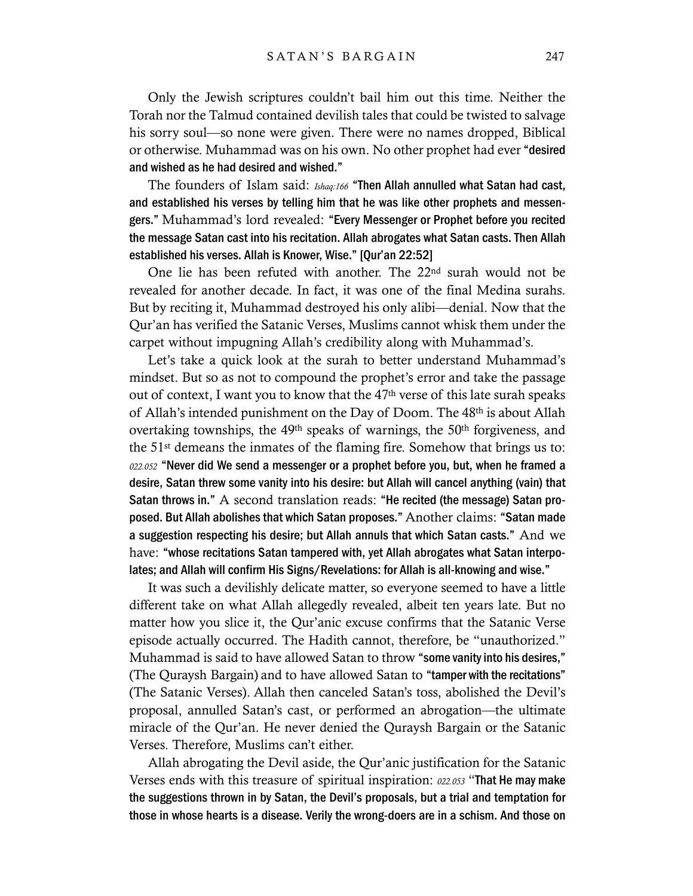Only the Jewish scriptures couldn't bail him out this time. Neither the Torah nor the Talmud contained devilish tales that could be twisted to salvage his sorry soul—so none were given. There were no names dropped, Biblical or otherwise. Muhammad was on his own. No other prophet had ever "desired and wished as he had desired and wished."

The founders of Islam said: *Ishaq:166* "Then Allah annulled what Satan had cast, and established his verses by telling him that he was like other prophets and messengers." Muhammad's lord revealed: "Every Messenger or Prophet before you recited the message Satan cast into his recitation. Allah abrogates what Satan casts. Then Allah established his verses. Allah is Knower, Wise." [Qur'an 22:52]

One lie has been refuted with another. The  $22<sup>nd</sup>$  surah would not be revealed for another decade. In fact, it was one of the final Medina surahs. But by reciting it, Muhammad destroyed his only alibi—denial. Now that the Qur'an has verified the Satanic Verses, Muslims cannot whisk them under the carpet without impugning Allah's credibility along with Muhammad's.

Let's take a quick look at the surah to better understand Muhammad's mindset. But so as not to compound the prophet's error and take the passage out of context, I want you to know that the 47th verse of this late surah speaks of Allah's intended punishment on the Day of Doom. The 48th is about Allah overtaking townships, the 49th speaks of warnings, the 50th forgiveness, and the 51st demeans the inmates of the flaming fire. Somehow that brings us to: *022.052* "Never did We send a messenger or a prophet before you, but, when he framed a desire, Satan threw some vanity into his desire: but Allah will cancel anything (vain) that Satan throws in." A second translation reads: "He recited (the message) Satan proposed. But Allah abolishes that which Satan proposes." Another claims: "Satan made a suggestion respecting his desire; but Allah annuls that which Satan casts." And we have: "whose recitations Satan tampered with, yet Allah abrogates what Satan interpolates; and Allah will confirm His Signs/Revelations: for Allah is all-knowing and wise."

It was such a devilishly delicate matter, so everyone seemed to have a little different take on what Allah allegedly revealed, albeit ten years late. But no matter how you slice it, the Qur'anic excuse confirms that the Satanic Verse episode actually occurred. The Hadith cannot, therefore, be "unauthorized." Muhammad is said to have allowed Satan to throw "some vanity into his desires," (The Quraysh Bargain) and to have allowed Satan to "tamper with the recitations" (The Satanic Verses). Allah then canceled Satan's toss, abolished the Devil's proposal, annulled Satan's cast, or performed an abrogation—the ultimate miracle of the Qur'an. He never denied the Quraysh Bargain or the Satanic Verses. Therefore, Muslims can't either.

Allah abrogating the Devil aside, the Qur'anic justification for the Satanic Verses ends with this treasure of spiritual inspiration: *022.053* "That He may make the suggestions thrown in by Satan, the Devil's proposals, but a trial and temptation for those in whose hearts is a disease. Verily the wrong-doers are in a schism. And those on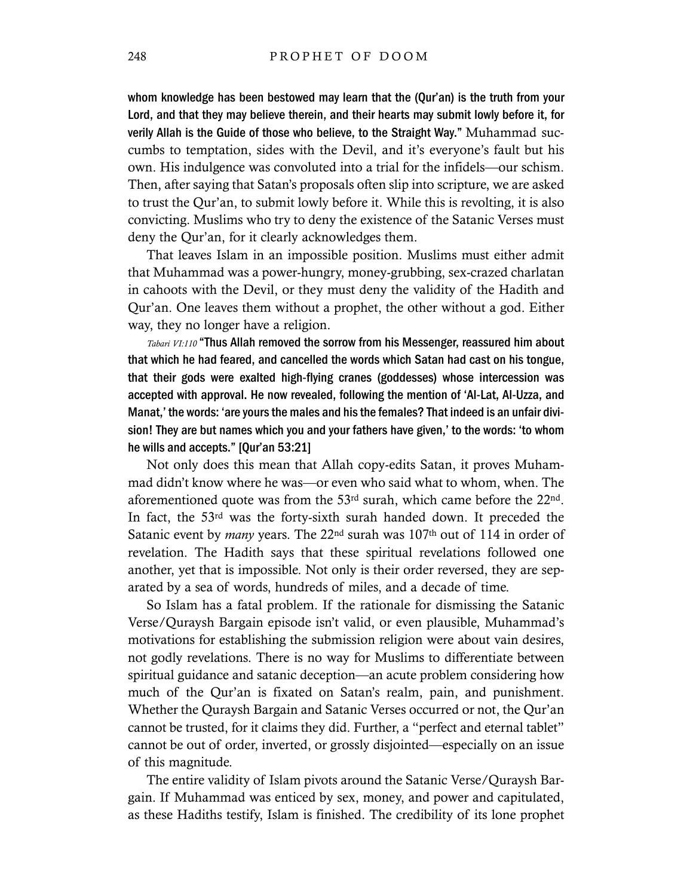whom knowledge has been bestowed may learn that the (Qur'an) is the truth from your Lord, and that they may believe therein, and their hearts may submit lowly before it, for verily Allah is the Guide of those who believe, to the Straight Way." Muhammad succumbs to temptation, sides with the Devil, and it's everyone's fault but his own. His indulgence was convoluted into a trial for the infidels—our schism. Then, after saying that Satan's proposals often slip into scripture, we are asked to trust the Qur'an, to submit lowly before it. While this is revolting, it is also convicting. Muslims who try to deny the existence of the Satanic Verses must deny the Qur'an, for it clearly acknowledges them.

That leaves Islam in an impossible position. Muslims must either admit that Muhammad was a power-hungry, money-grubbing, sex-crazed charlatan in cahoots with the Devil, or they must deny the validity of the Hadith and Qur'an. One leaves them without a prophet, the other without a god. Either way, they no longer have a religion.

*Tabari VI:110* "Thus Allah removed the sorrow from his Messenger, reassured him about that which he had feared, and cancelled the words which Satan had cast on his tongue, that their gods were exalted high-flying cranes (goddesses) whose intercession was accepted with approval. He now revealed, following the mention of 'Al-Lat, Al-Uzza, and Manat,' the words: 'are yours the males and his the females? That indeed is an unfair division! They are but names which you and your fathers have given,' to the words: 'to whom he wills and accepts." [Qur'an 53:21]

Not only does this mean that Allah copy-edits Satan, it proves Muhammad didn't know where he was—or even who said what to whom, when. The aforementioned quote was from the 53rd surah, which came before the 22nd. In fact, the 53rd was the forty-sixth surah handed down. It preceded the Satanic event by *many* years. The 22<sup>nd</sup> surah was 107<sup>th</sup> out of 114 in order of revelation. The Hadith says that these spiritual revelations followed one another, yet that is impossible. Not only is their order reversed, they are separated by a sea of words, hundreds of miles, and a decade of time.

So Islam has a fatal problem. If the rationale for dismissing the Satanic Verse/Quraysh Bargain episode isn't valid, or even plausible, Muhammad's motivations for establishing the submission religion were about vain desires, not godly revelations. There is no way for Muslims to differentiate between spiritual guidance and satanic deception—an acute problem considering how much of the Qur'an is fixated on Satan's realm, pain, and punishment. Whether the Quraysh Bargain and Satanic Verses occurred or not, the Qur'an cannot be trusted, for it claims they did. Further, a "perfect and eternal tablet" cannot be out of order, inverted, or grossly disjointed—especially on an issue of this magnitude.

The entire validity of Islam pivots around the Satanic Verse/Quraysh Bargain. If Muhammad was enticed by sex, money, and power and capitulated, as these Hadiths testify, Islam is finished. The credibility of its lone prophet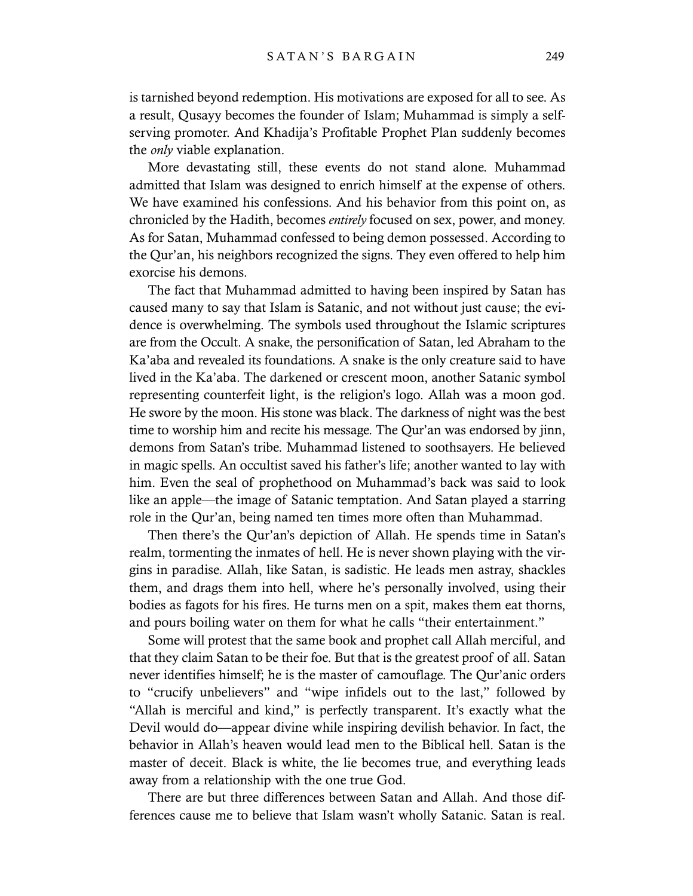is tarnished beyond redemption. His motivations are exposed for all to see. As a result, Qusayy becomes the founder of Islam; Muhammad is simply a selfserving promoter. And Khadija's Profitable Prophet Plan suddenly becomes the *only* viable explanation.

More devastating still, these events do not stand alone. Muhammad admitted that Islam was designed to enrich himself at the expense of others. We have examined his confessions. And his behavior from this point on, as chronicled by the Hadith, becomes *entirely* focused on sex, power, and money. As for Satan, Muhammad confessed to being demon possessed. According to the Qur'an, his neighbors recognized the signs. They even offered to help him exorcise his demons.

The fact that Muhammad admitted to having been inspired by Satan has caused many to say that Islam is Satanic, and not without just cause; the evidence is overwhelming. The symbols used throughout the Islamic scriptures are from the Occult. A snake, the personification of Satan, led Abraham to the Ka'aba and revealed its foundations. A snake is the only creature said to have lived in the Ka'aba. The darkened or crescent moon, another Satanic symbol representing counterfeit light, is the religion's logo. Allah was a moon god. He swore by the moon. His stone was black. The darkness of night was the best time to worship him and recite his message. The Qur'an was endorsed by jinn, demons from Satan's tribe. Muhammad listened to soothsayers. He believed in magic spells. An occultist saved his father's life; another wanted to lay with him. Even the seal of prophethood on Muhammad's back was said to look like an apple—the image of Satanic temptation. And Satan played a starring role in the Qur'an, being named ten times more often than Muhammad.

Then there's the Qur'an's depiction of Allah. He spends time in Satan's realm, tormenting the inmates of hell. He is never shown playing with the virgins in paradise. Allah, like Satan, is sadistic. He leads men astray, shackles them, and drags them into hell, where he's personally involved, using their bodies as fagots for his fires. He turns men on a spit, makes them eat thorns, and pours boiling water on them for what he calls "their entertainment."

Some will protest that the same book and prophet call Allah merciful, and that they claim Satan to be their foe. But that is the greatest proof of all. Satan never identifies himself; he is the master of camouflage. The Qur'anic orders to "crucify unbelievers" and "wipe infidels out to the last," followed by "Allah is merciful and kind," is perfectly transparent. It's exactly what the Devil would do—appear divine while inspiring devilish behavior. In fact, the behavior in Allah's heaven would lead men to the Biblical hell. Satan is the master of deceit. Black is white, the lie becomes true, and everything leads away from a relationship with the one true God.

There are but three differences between Satan and Allah. And those differences cause me to believe that Islam wasn't wholly Satanic. Satan is real.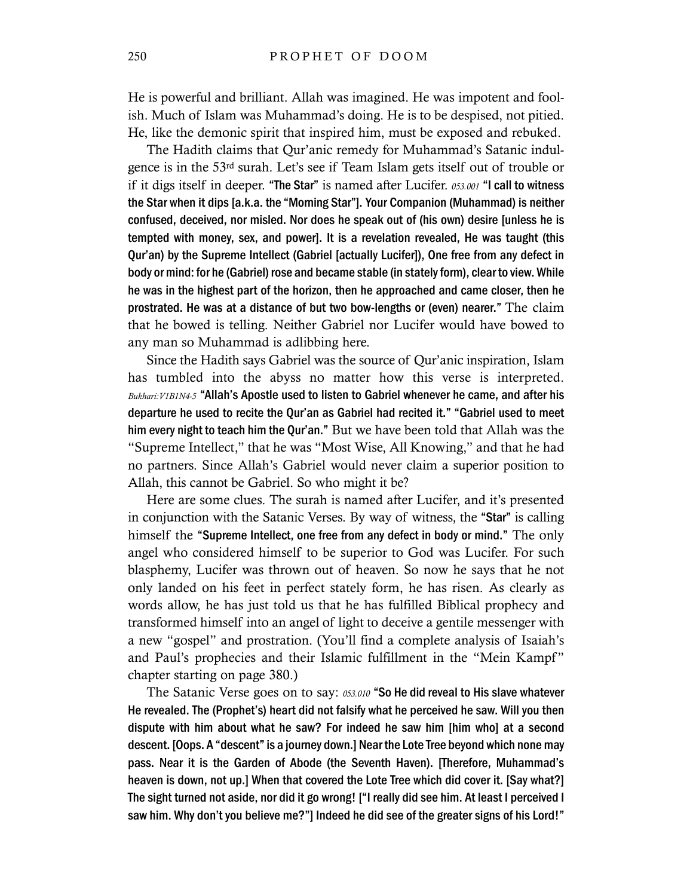He is powerful and brilliant. Allah was imagined. He was impotent and foolish. Much of Islam was Muhammad's doing. He is to be despised, not pitied. He, like the demonic spirit that inspired him, must be exposed and rebuked.

The Hadith claims that Qur'anic remedy for Muhammad's Satanic indulgence is in the 53rd surah. Let's see if Team Islam gets itself out of trouble or if it digs itself in deeper. "The Star" is named after Lucifer. *053.001* "I call to witness the Star when it dips [a.k.a. the "Morning Star"]. Your Companion (Muhammad) is neither confused, deceived, nor misled. Nor does he speak out of (his own) desire [unless he is tempted with money, sex, and power]. It is a revelation revealed, He was taught (this Qur'an) by the Supreme Intellect (Gabriel [actually Lucifer]), One free from any defect in body or mind: for he (Gabriel) rose and became stable (in stately form), clear to view. While he was in the highest part of the horizon, then he approached and came closer, then he prostrated. He was at a distance of but two bow-lengths or (even) nearer." The claim that he bowed is telling. Neither Gabriel nor Lucifer would have bowed to any man so Muhammad is adlibbing here.

Since the Hadith says Gabriel was the source of Qur'anic inspiration, Islam has tumbled into the abyss no matter how this verse is interpreted. *Bukhari:V1B1N4-5* "Allah's Apostle used to listen to Gabriel whenever he came, and after his departure he used to recite the Qur'an as Gabriel had recited it." "Gabriel used to meet him every night to teach him the Qur'an." But we have been told that Allah was the "Supreme Intellect," that he was "Most Wise, All Knowing," and that he had no partners. Since Allah's Gabriel would never claim a superior position to Allah, this cannot be Gabriel. So who might it be?

Here are some clues. The surah is named after Lucifer, and it's presented in conjunction with the Satanic Verses. By way of witness, the "Star" is calling himself the "Supreme Intellect, one free from any defect in body or mind." The only angel who considered himself to be superior to God was Lucifer. For such blasphemy, Lucifer was thrown out of heaven. So now he says that he not only landed on his feet in perfect stately form, he has risen. As clearly as words allow, he has just told us that he has fulfilled Biblical prophecy and transformed himself into an angel of light to deceive a gentile messenger with a new "gospel" and prostration. (You'll find a complete analysis of Isaiah's and Paul's prophecies and their Islamic fulfillment in the "Mein Kampf" chapter starting on page 380.)

The Satanic Verse goes on to say: *053.010* "So He did reveal to His slave whatever He revealed. The (Prophet's) heart did not falsify what he perceived he saw. Will you then dispute with him about what he saw? For indeed he saw him [him who] at a second descent. [Oops. A "descent" is a journey down.] Near the Lote Tree beyond which none may pass. Near it is the Garden of Abode (the Seventh Haven). [Therefore, Muhammad's heaven is down, not up.] When that covered the Lote Tree which did cover it. [Say what?] The sight turned not aside, nor did it go wrong! ["I really did see him. At least I perceived I saw him. Why don't you believe me?"] Indeed he did see of the greater signs of his Lord!"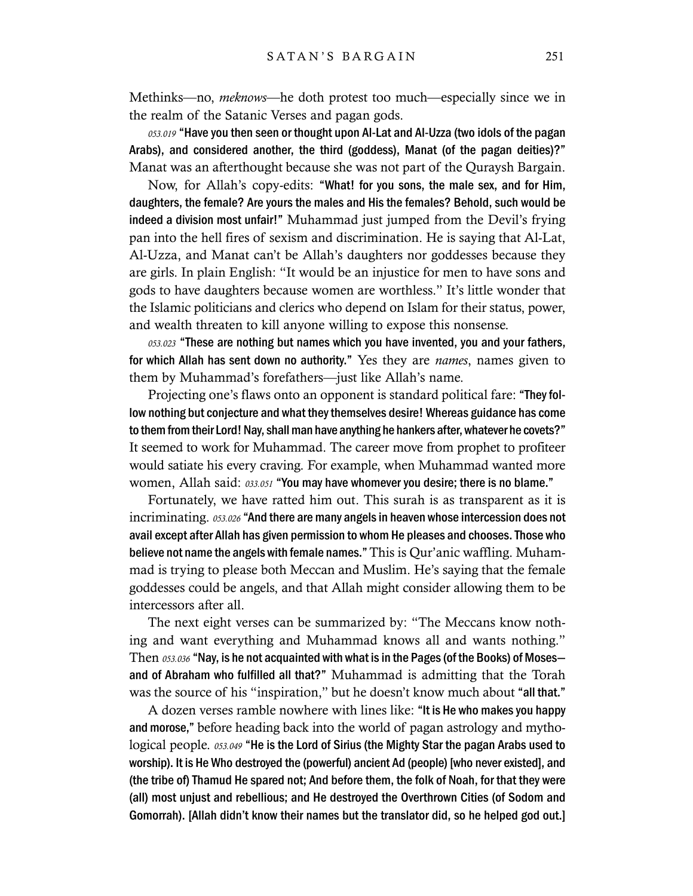Methinks—no, *meknows*—he doth protest too much—especially since we in the realm of the Satanic Verses and pagan gods.

*053.019* "Have you then seen or thought upon Al-Lat and Al-Uzza (two idols of the pagan Arabs), and considered another, the third (goddess), Manat (of the pagan deities)?" Manat was an afterthought because she was not part of the Quraysh Bargain.

Now, for Allah's copy-edits: "What! for you sons, the male sex, and for Him, daughters, the female? Are yours the males and His the females? Behold, such would be indeed a division most unfair!" Muhammad just jumped from the Devil's frying pan into the hell fires of sexism and discrimination. He is saying that Al-Lat, Al-Uzza, and Manat can't be Allah's daughters nor goddesses because they are girls. In plain English: "It would be an injustice for men to have sons and gods to have daughters because women are worthless." It's little wonder that the Islamic politicians and clerics who depend on Islam for their status, power, and wealth threaten to kill anyone willing to expose this nonsense.

*053.023* "These are nothing but names which you have invented, you and your fathers, for which Allah has sent down no authority." Yes they are *names*, names given to them by Muhammad's forefathers—just like Allah's name.

Projecting one's flaws onto an opponent is standard political fare: "They follow nothing but conjecture and what they themselves desire! Whereas guidance has come to them from their Lord! Nay, shall man have anything he hankers after, whatever he covets?" It seemed to work for Muhammad. The career move from prophet to profiteer would satiate his every craving. For example, when Muhammad wanted more women, Allah said: *033.051* "You may have whomever you desire; there is no blame."

Fortunately, we have ratted him out. This surah is as transparent as it is incriminating. *053.026* "And there are many angels in heaven whose intercession does not avail except after Allah has given permission to whom He pleases and chooses. Those who believe not name the angels with female names." This is Qur'anic waffling. Muhammad is trying to please both Meccan and Muslim. He's saying that the female goddesses could be angels, and that Allah might consider allowing them to be intercessors after all.

The next eight verses can be summarized by: "The Meccans know nothing and want everything and Muhammad knows all and wants nothing." Then *053.036* "Nay, is he not acquainted with what is in the Pages (of the Books) of Moses and of Abraham who fulfilled all that?" Muhammad is admitting that the Torah was the source of his "inspiration," but he doesn't know much about "all that."

A dozen verses ramble nowhere with lines like: "It is He who makes you happy and morose," before heading back into the world of pagan astrology and mythological people. *053.049* "He is the Lord of Sirius (the Mighty Star the pagan Arabs used to worship). It is He Who destroyed the (powerful) ancient Ad (people) [who never existed], and (the tribe of) Thamud He spared not; And before them, the folk of Noah, for that they were (all) most unjust and rebellious; and He destroyed the Overthrown Cities (of Sodom and Gomorrah). [Allah didn't know their names but the translator did, so he helped god out.]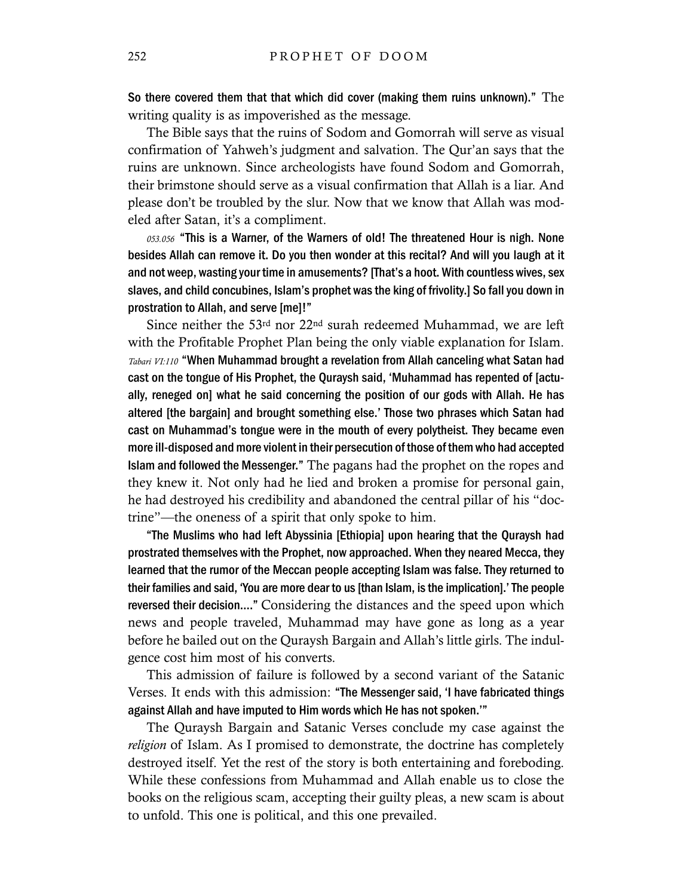So there covered them that that which did cover (making them ruins unknown)." The writing quality is as impoverished as the message.

The Bible says that the ruins of Sodom and Gomorrah will serve as visual confirmation of Yahweh's judgment and salvation. The Qur'an says that the ruins are unknown. Since archeologists have found Sodom and Gomorrah, their brimstone should serve as a visual confirmation that Allah is a liar. And please don't be troubled by the slur. Now that we know that Allah was modeled after Satan, it's a compliment.

*053.056* "This is a Warner, of the Warners of old! The threatened Hour is nigh. None besides Allah can remove it. Do you then wonder at this recital? And will you laugh at it and not weep, wasting your time in amusements? [That's a hoot. With countless wives, sex slaves, and child concubines, Islam's prophet was the king of frivolity.] So fall you down in prostration to Allah, and serve [me]!"

Since neither the 53<sup>rd</sup> nor 22<sup>nd</sup> surah redeemed Muhammad, we are left with the Profitable Prophet Plan being the only viable explanation for Islam. *Tabari VI:110* "When Muhammad brought a revelation from Allah canceling what Satan had cast on the tongue of His Prophet, the Quraysh said, 'Muhammad has repented of [actually, reneged on] what he said concerning the position of our gods with Allah. He has altered [the bargain] and brought something else.' Those two phrases which Satan had cast on Muhammad's tongue were in the mouth of every polytheist. They became even more ill-disposed and more violent in their persecution of those of them who had accepted Islam and followed the Messenger." The pagans had the prophet on the ropes and they knew it. Not only had he lied and broken a promise for personal gain, he had destroyed his credibility and abandoned the central pillar of his "doctrine"—the oneness of a spirit that only spoke to him.

"The Muslims who had left Abyssinia [Ethiopia] upon hearing that the Quraysh had prostrated themselves with the Prophet, now approached. When they neared Mecca, they learned that the rumor of the Meccan people accepting Islam was false. They returned to their families and said, 'You are more dear to us [than Islam, is the implication].' The people reversed their decision…." Considering the distances and the speed upon which news and people traveled, Muhammad may have gone as long as a year before he bailed out on the Quraysh Bargain and Allah's little girls. The indulgence cost him most of his converts.

This admission of failure is followed by a second variant of the Satanic Verses. It ends with this admission: "The Messenger said, 'I have fabricated things against Allah and have imputed to Him words which He has not spoken.'"

The Quraysh Bargain and Satanic Verses conclude my case against the *religion* of Islam. As I promised to demonstrate, the doctrine has completely destroyed itself. Yet the rest of the story is both entertaining and foreboding. While these confessions from Muhammad and Allah enable us to close the books on the religious scam, accepting their guilty pleas, a new scam is about to unfold. This one is political, and this one prevailed.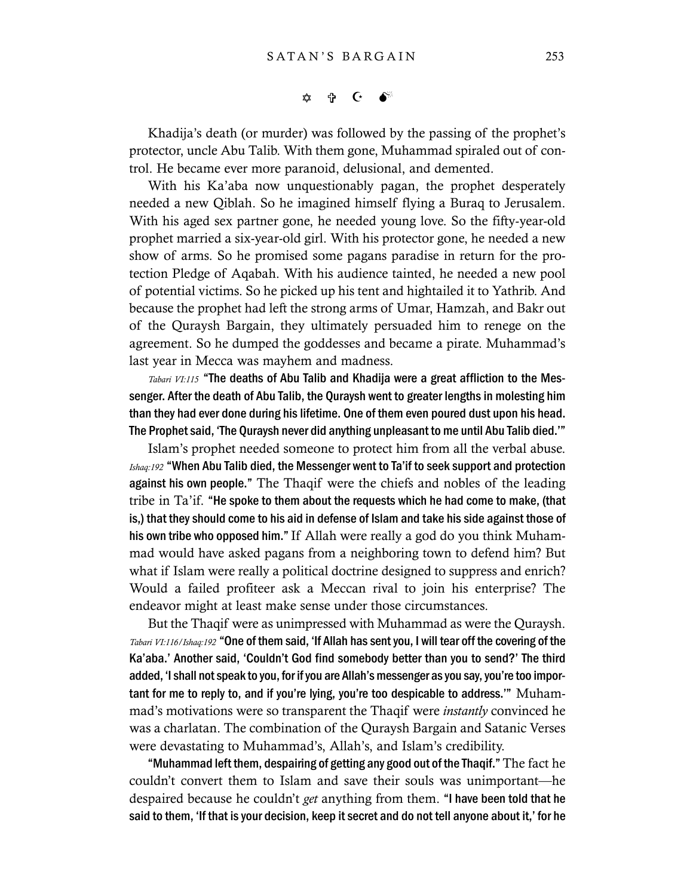## **☆ ☆ (\***

Khadija's death (or murder) was followed by the passing of the prophet's protector, uncle Abu Talib. With them gone, Muhammad spiraled out of control. He became ever more paranoid, delusional, and demented.

With his Ka'aba now unquestionably pagan, the prophet desperately needed a new Qiblah. So he imagined himself flying a Buraq to Jerusalem. With his aged sex partner gone, he needed young love. So the fifty-year-old prophet married a six-year-old girl. With his protector gone, he needed a new show of arms. So he promised some pagans paradise in return for the protection Pledge of Aqabah. With his audience tainted, he needed a new pool of potential victims. So he picked up his tent and hightailed it to Yathrib. And because the prophet had left the strong arms of Umar, Hamzah, and Bakr out of the Quraysh Bargain, they ultimately persuaded him to renege on the agreement. So he dumped the goddesses and became a pirate. Muhammad's last year in Mecca was mayhem and madness.

*Tabari VI:115* "The deaths of Abu Talib and Khadija were a great affliction to the Messenger. After the death of Abu Talib, the Quraysh went to greater lengths in molesting him than they had ever done during his lifetime. One of them even poured dust upon his head. The Prophet said, 'The Quraysh never did anything unpleasant to me until Abu Talib died.'"

Islam's prophet needed someone to protect him from all the verbal abuse. *Ishaq:192* "When Abu Talib died, the Messenger went to Ta'if to seek support and protection against his own people." The Thaqif were the chiefs and nobles of the leading tribe in Ta'if. "He spoke to them about the requests which he had come to make, (that is,) that they should come to his aid in defense of Islam and take his side against those of his own tribe who opposed him." If Allah were really a god do you think Muhammad would have asked pagans from a neighboring town to defend him? But what if Islam were really a political doctrine designed to suppress and enrich? Would a failed profiteer ask a Meccan rival to join his enterprise? The endeavor might at least make sense under those circumstances.

But the Thaqif were as unimpressed with Muhammad as were the Quraysh. *Tabari VI:116/Ishaq:192* "One of them said, 'If Allah has sent you, I will tear off the covering of the Ka'aba.' Another said, 'Couldn't God find somebody better than you to send?' The third added, 'I shall not speak to you, for if you are Allah's messenger as you say, you're too important for me to reply to, and if you're lying, you're too despicable to address." Muhammad's motivations were so transparent the Thaqif were *instantly* convinced he was a charlatan. The combination of the Quraysh Bargain and Satanic Verses were devastating to Muhammad's, Allah's, and Islam's credibility.

"Muhammad left them, despairing of getting any good out of the Thaqif." The fact he couldn't convert them to Islam and save their souls was unimportant—he despaired because he couldn't *get* anything from them. "I have been told that he said to them, 'If that is your decision, keep it secret and do not tell anyone about it,' for he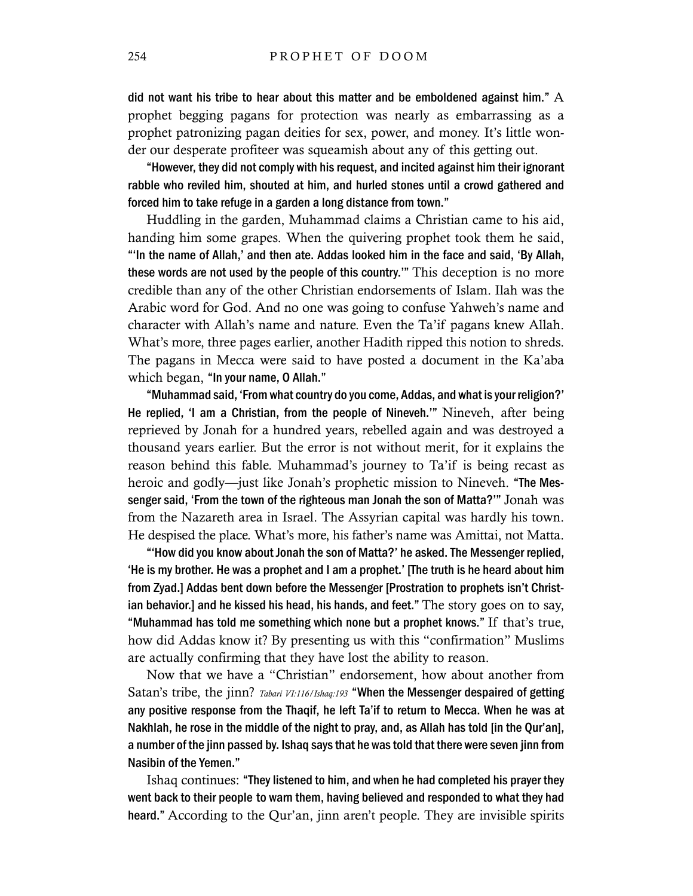did not want his tribe to hear about this matter and be emboldened against him."  $\overline{A}$ prophet begging pagans for protection was nearly as embarrassing as a prophet patronizing pagan deities for sex, power, and money. It's little wonder our desperate profiteer was squeamish about any of this getting out.

"However, they did not comply with his request, and incited against him their ignorant rabble who reviled him, shouted at him, and hurled stones until a crowd gathered and forced him to take refuge in a garden a long distance from town."

Huddling in the garden, Muhammad claims a Christian came to his aid, handing him some grapes. When the quivering prophet took them he said, "'In the name of Allah,' and then ate. Addas looked him in the face and said, 'By Allah, these words are not used by the people of this country.'" This deception is no more credible than any of the other Christian endorsements of Islam. Ilah was the Arabic word for God. And no one was going to confuse Yahweh's name and character with Allah's name and nature. Even the Ta'if pagans knew Allah. What's more, three pages earlier, another Hadith ripped this notion to shreds. The pagans in Mecca were said to have posted a document in the Ka'aba which began, "In your name, O Allah."

"Muhammad said, 'From what country do you come, Addas, and what is your religion?' He replied, 'I am a Christian, from the people of Nineveh.'" Nineveh, after being reprieved by Jonah for a hundred years, rebelled again and was destroyed a thousand years earlier. But the error is not without merit, for it explains the reason behind this fable. Muhammad's journey to Ta'if is being recast as heroic and godly—just like Jonah's prophetic mission to Nineveh. "The Messenger said, 'From the town of the righteous man Jonah the son of Matta?'" Jonah was from the Nazareth area in Israel. The Assyrian capital was hardly his town. He despised the place. What's more, his father's name was Amittai, not Matta.

"'How did you know about Jonah the son of Matta?' he asked. The Messenger replied, 'He is my brother. He was a prophet and I am a prophet.' [The truth is he heard about him from Zyad.] Addas bent down before the Messenger [Prostration to prophets isn't Christian behavior.] and he kissed his head, his hands, and feet." The story goes on to say, "Muhammad has told me something which none but a prophet knows." If that's true, how did Addas know it? By presenting us with this "confirmation" Muslims are actually confirming that they have lost the ability to reason.

Now that we have a "Christian" endorsement, how about another from Satan's tribe, the jinn? *Tabari VI:116/Ishaq:193* "When the Messenger despaired of getting any positive response from the Thaqif, he left Ta'if to return to Mecca. When he was at Nakhlah, he rose in the middle of the night to pray, and, as Allah has told [in the Qur'an], a number of the jinn passed by. Ishaq says that he was told that there were seven jinn from Nasibin of the Yemen."

Ishaq continues: "They listened to him, and when he had completed his prayer they went back to their people to warn them, having believed and responded to what they had heard." According to the Qur'an, jinn aren't people. They are invisible spirits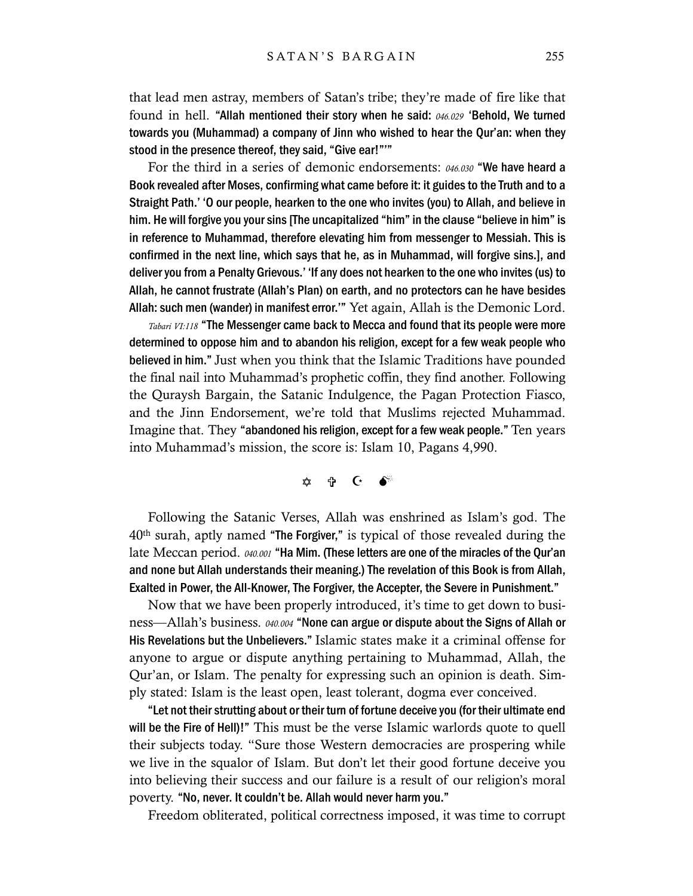that lead men astray, members of Satan's tribe; they're made of fire like that found in hell. "Allah mentioned their story when he said: *046.029* 'Behold, We turned towards you (Muhammad) a company of Jinn who wished to hear the Qur'an: when they stood in the presence thereof, they said, "Give ear!"'"

For the third in a series of demonic endorsements: *046.030* "We have heard a Book revealed after Moses, confirming what came before it: it guides to the Truth and to a Straight Path.' 'O our people, hearken to the one who invites (you) to Allah, and believe in him. He will forgive you your sins [The uncapitalized "him" in the clause "believe in him" is in reference to Muhammad, therefore elevating him from messenger to Messiah. This is confirmed in the next line, which says that he, as in Muhammad, will forgive sins.], and deliver you from a Penalty Grievous.' 'If any does not hearken to the one who invites (us) to Allah, he cannot frustrate (Allah's Plan) on earth, and no protectors can he have besides Allah: such men (wander) in manifest error.'" Yet again, Allah is the Demonic Lord.

*Tabari VI:118* "The Messenger came back to Mecca and found that its people were more determined to oppose him and to abandon his religion, except for a few weak people who believed in him." Just when you think that the Islamic Traditions have pounded the final nail into Muhammad's prophetic coffin, they find another. Following the Quraysh Bargain, the Satanic Indulgence, the Pagan Protection Fiasco, and the Jinn Endorsement, we're told that Muslims rejected Muhammad. Imagine that. They "abandoned his religion, except for a few weak people." Ten years into Muhammad's mission, the score is: Islam 10, Pagans 4,990.

 $\oplus$   $\mathsf{G}$ 

Following the Satanic Verses, Allah was enshrined as Islam's god. The 40th surah, aptly named "The Forgiver," is typical of those revealed during the late Meccan period. *040.001* "Ha Mim. (These letters are one of the miracles of the Qur'an and none but Allah understands their meaning.) The revelation of this Book is from Allah, Exalted in Power, the All-Knower, The Forgiver, the Accepter, the Severe in Punishment."

Now that we have been properly introduced, it's time to get down to business—Allah's business. *040.004* "None can argue or dispute about the Signs of Allah or His Revelations but the Unbelievers." Islamic states make it a criminal offense for anyone to argue or dispute anything pertaining to Muhammad, Allah, the Qur'an, or Islam. The penalty for expressing such an opinion is death. Simply stated: Islam is the least open, least tolerant, dogma ever conceived.

"Let not their strutting about or their turn of fortune deceive you (for their ultimate end will be the Fire of Hell)!" This must be the verse Islamic warlords quote to quell their subjects today. "Sure those Western democracies are prospering while we live in the squalor of Islam. But don't let their good fortune deceive you into believing their success and our failure is a result of our religion's moral poverty. "No, never. It couldn't be. Allah would never harm you."

Freedom obliterated, political correctness imposed, it was time to corrupt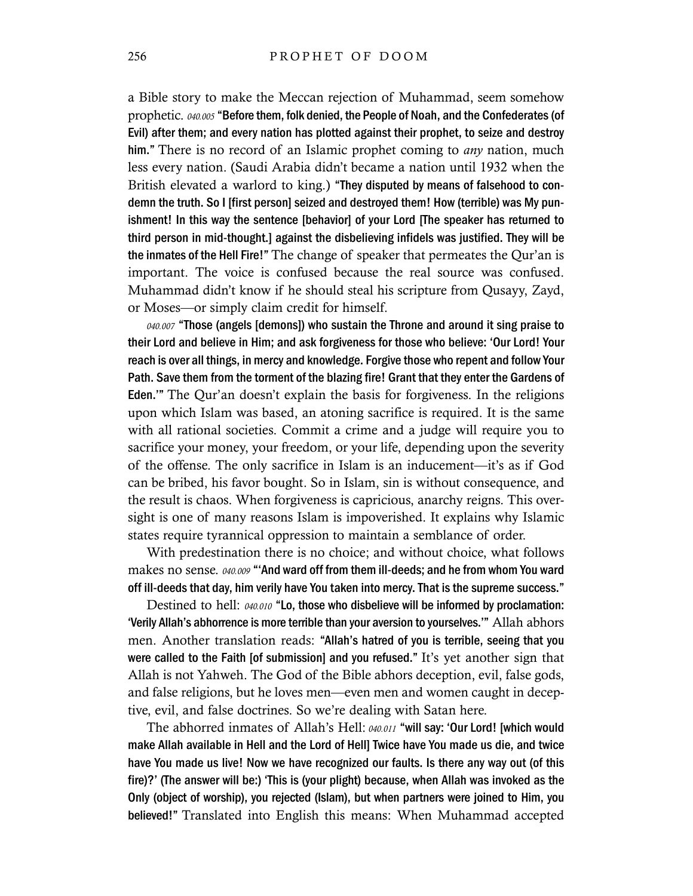a Bible story to make the Meccan rejection of Muhammad, seem somehow prophetic. *040.005* "Before them, folk denied, the People of Noah, and the Confederates (of Evil) after them; and every nation has plotted against their prophet, to seize and destroy him." There is no record of an Islamic prophet coming to *any* nation, much less every nation. (Saudi Arabia didn't became a nation until 1932 when the British elevated a warlord to king.) "They disputed by means of falsehood to condemn the truth. So I [first person] seized and destroyed them! How (terrible) was My punishment! In this way the sentence [behavior] of your Lord [The speaker has returned to third person in mid-thought.] against the disbelieving infidels was justified. They will be the inmates of the Hell Fire!" The change of speaker that permeates the Qur'an is important. The voice is confused because the real source was confused. Muhammad didn't know if he should steal his scripture from Qusayy, Zayd, or Moses—or simply claim credit for himself.

*040.007* "Those (angels [demons]) who sustain the Throne and around it sing praise to their Lord and believe in Him; and ask forgiveness for those who believe: 'Our Lord! Your reach is over all things, in mercy and knowledge. Forgive those who repent and follow Your Path. Save them from the torment of the blazing fire! Grant that they enter the Gardens of Eden.'" The Qur'an doesn't explain the basis for forgiveness. In the religions upon which Islam was based, an atoning sacrifice is required. It is the same with all rational societies. Commit a crime and a judge will require you to sacrifice your money, your freedom, or your life, depending upon the severity of the offense. The only sacrifice in Islam is an inducement—it's as if God can be bribed, his favor bought. So in Islam, sin is without consequence, and the result is chaos. When forgiveness is capricious, anarchy reigns. This oversight is one of many reasons Islam is impoverished. It explains why Islamic states require tyrannical oppression to maintain a semblance of order.

With predestination there is no choice; and without choice, what follows makes no sense. *040.009* "'And ward off from them ill-deeds; and he from whom You ward off ill-deeds that day, him verily have You taken into mercy. That is the supreme success."

Destined to hell: *040.010* "Lo, those who disbelieve will be informed by proclamation: 'Verily Allah's abhorrence is more terrible than your aversion to yourselves.'" Allah abhors men. Another translation reads: "Allah's hatred of you is terrible, seeing that you were called to the Faith [of submission] and you refused." It's yet another sign that Allah is not Yahweh. The God of the Bible abhors deception, evil, false gods, and false religions, but he loves men—even men and women caught in deceptive, evil, and false doctrines. So we're dealing with Satan here.

The abhorred inmates of Allah's Hell: *040.011* "will say: 'Our Lord! [which would make Allah available in Hell and the Lord of Hell] Twice have You made us die, and twice have You made us live! Now we have recognized our faults. Is there any way out (of this fire)?' (The answer will be:) 'This is (your plight) because, when Allah was invoked as the Only (object of worship), you rejected (Islam), but when partners were joined to Him, you believed!" Translated into English this means: When Muhammad accepted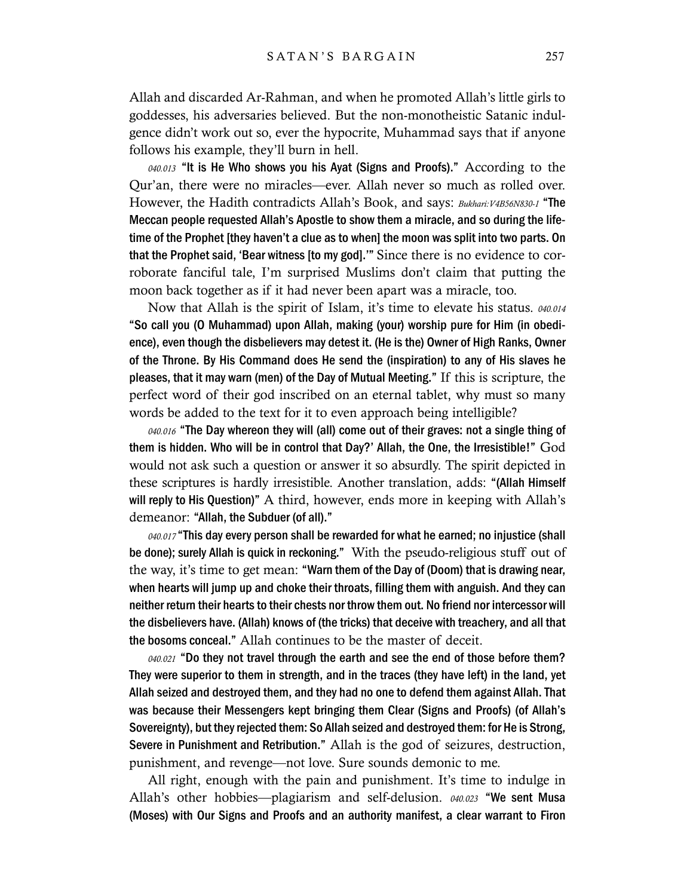Allah and discarded Ar-Rahman, and when he promoted Allah's little girls to goddesses, his adversaries believed. But the non-monotheistic Satanic indulgence didn't work out so, ever the hypocrite, Muhammad says that if anyone follows his example, they'll burn in hell.

*040.013* "It is He Who shows you his Ayat (Signs and Proofs)." According to the Qur'an, there were no miracles—ever. Allah never so much as rolled over. However, the Hadith contradicts Allah's Book, and says: *Bukhari:V4B56N830-1* "The Meccan people requested Allah's Apostle to show them a miracle, and so during the lifetime of the Prophet [they haven't a clue as to when] the moon was split into two parts. On that the Prophet said, 'Bear witness [to my god].'" Since there is no evidence to corroborate fanciful tale, I'm surprised Muslims don't claim that putting the moon back together as if it had never been apart was a miracle, too.

Now that Allah is the spirit of Islam, it's time to elevate his status. *040.014* "So call you (O Muhammad) upon Allah, making (your) worship pure for Him (in obedience), even though the disbelievers may detest it. (He is the) Owner of High Ranks, Owner of the Throne. By His Command does He send the (inspiration) to any of His slaves he pleases, that it may warn (men) of the Day of Mutual Meeting." If this is scripture, the perfect word of their god inscribed on an eternal tablet, why must so many words be added to the text for it to even approach being intelligible?

*040.016* "The Day whereon they will (all) come out of their graves: not a single thing of them is hidden. Who will be in control that Day?' Allah, the One, the Irresistible!" God would not ask such a question or answer it so absurdly. The spirit depicted in these scriptures is hardly irresistible. Another translation, adds: "(Allah Himself will reply to His Question)" A third, however, ends more in keeping with Allah's demeanor: "Allah, the Subduer (of all)."

*040.017* "This day every person shall be rewarded for what he earned; no injustice (shall be done); surely Allah is quick in reckoning." With the pseudo-religious stuff out of the way, it's time to get mean: "Warn them of the Day of (Doom) that is drawing near, when hearts will jump up and choke their throats, filling them with anguish. And they can neither return their hearts to their chests nor throw them out. No friend nor intercessor will the disbelievers have. (Allah) knows of (the tricks) that deceive with treachery, and all that the bosoms conceal." Allah continues to be the master of deceit.

*040.021* "Do they not travel through the earth and see the end of those before them? They were superior to them in strength, and in the traces (they have left) in the land, yet Allah seized and destroyed them, and they had no one to defend them against Allah. That was because their Messengers kept bringing them Clear (Signs and Proofs) (of Allah's Sovereignty), but they rejected them: So Allah seized and destroyed them: for He is Strong, Severe in Punishment and Retribution." Allah is the god of seizures, destruction, punishment, and revenge—not love. Sure sounds demonic to me.

All right, enough with the pain and punishment. It's time to indulge in Allah's other hobbies—plagiarism and self-delusion. *040.023* "We sent Musa (Moses) with Our Signs and Proofs and an authority manifest, a clear warrant to Firon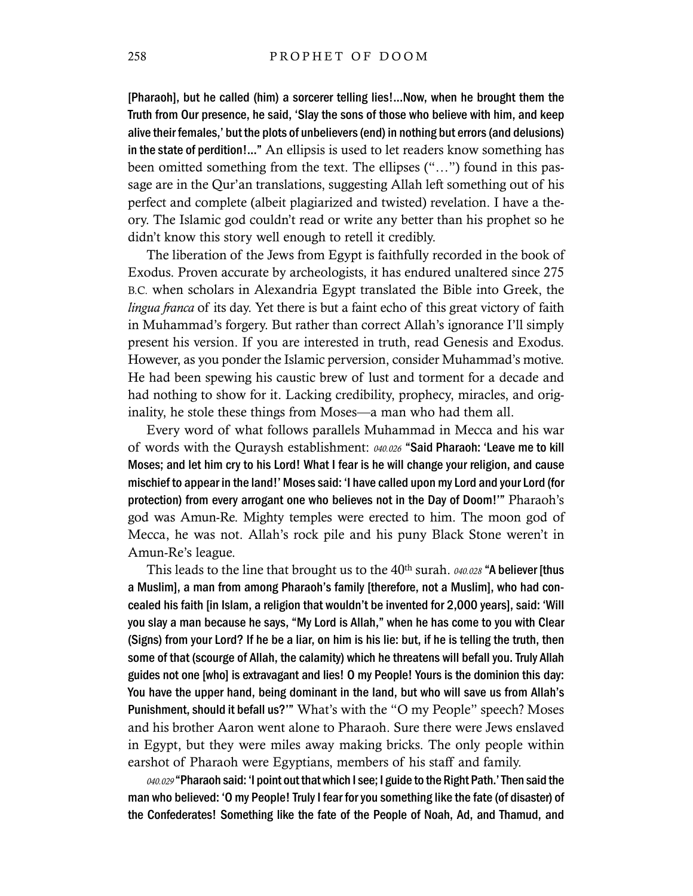[Pharaoh], but he called (him) a sorcerer telling lies!...Now, when he brought them the Truth from Our presence, he said, 'Slay the sons of those who believe with him, and keep alive their females,' but the plots of unbelievers (end) in nothing but errors (and delusions) in the state of perdition!..." An ellipsis is used to let readers know something has been omitted something from the text. The ellipses ("...") found in this passage are in the Qur'an translations, suggesting Allah left something out of his perfect and complete (albeit plagiarized and twisted) revelation. I have a theory. The Islamic god couldn't read or write any better than his prophet so he didn't know this story well enough to retell it credibly.

The liberation of the Jews from Egypt is faithfully recorded in the book of Exodus. Proven accurate by archeologists, it has endured unaltered since 275 B.C. when scholars in Alexandria Egypt translated the Bible into Greek, the *lingua franca* of its day. Yet there is but a faint echo of this great victory of faith in Muhammad's forgery. But rather than correct Allah's ignorance I'll simply present his version. If you are interested in truth, read Genesis and Exodus. However, as you ponder the Islamic perversion, consider Muhammad's motive. He had been spewing his caustic brew of lust and torment for a decade and had nothing to show for it. Lacking credibility, prophecy, miracles, and originality, he stole these things from Moses—a man who had them all.

Every word of what follows parallels Muhammad in Mecca and his war of words with the Quraysh establishment: *040.026* "Said Pharaoh: 'Leave me to kill Moses; and let him cry to his Lord! What I fear is he will change your religion, and cause mischief to appear in the land!' Moses said: 'I have called upon my Lord and your Lord (for protection) from every arrogant one who believes not in the Day of Doom!'" Pharaoh's god was Amun-Re. Mighty temples were erected to him. The moon god of Mecca, he was not. Allah's rock pile and his puny Black Stone weren't in Amun-Re's league.

This leads to the line that brought us to the 40th surah. *040.028* "A believer [thus a Muslim], a man from among Pharaoh's family [therefore, not a Muslim], who had concealed his faith [in Islam, a religion that wouldn't be invented for 2,000 years], said: 'Will you slay a man because he says, "My Lord is Allah," when he has come to you with Clear (Signs) from your Lord? If he be a liar, on him is his lie: but, if he is telling the truth, then some of that (scourge of Allah, the calamity) which he threatens will befall you. Truly Allah guides not one [who] is extravagant and lies! O my People! Yours is the dominion this day: You have the upper hand, being dominant in the land, but who will save us from Allah's Punishment, should it befall us?'" What's with the "O my People" speech? Moses and his brother Aaron went alone to Pharaoh. Sure there were Jews enslaved in Egypt, but they were miles away making bricks. The only people within earshot of Pharaoh were Egyptians, members of his staff and family.

*040.029* "Pharaoh said: 'I point out that which I see; I guide to the Right Path.' Then said the man who believed: 'O my People! Truly I fear for you something like the fate (of disaster) of the Confederates! Something like the fate of the People of Noah, Ad, and Thamud, and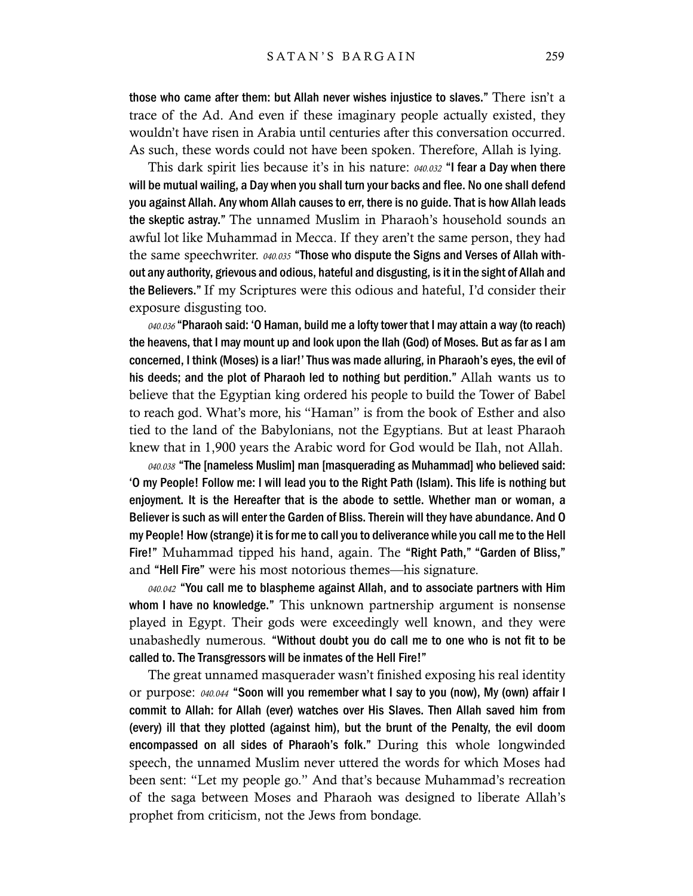those who came after them: but Allah never wishes injustice to slaves." There isn't a trace of the Ad. And even if these imaginary people actually existed, they wouldn't have risen in Arabia until centuries after this conversation occurred. As such, these words could not have been spoken. Therefore, Allah is lying.

This dark spirit lies because it's in his nature: *040.032* "I fear a Day when there will be mutual wailing, a Day when you shall turn your backs and flee. No one shall defend you against Allah. Any whom Allah causes to err, there is no guide. That is how Allah leads the skeptic astray." The unnamed Muslim in Pharaoh's household sounds an awful lot like Muhammad in Mecca. If they aren't the same person, they had the same speechwriter. *040.035* "Those who dispute the Signs and Verses of Allah without any authority, grievous and odious, hateful and disgusting, is it in the sight of Allah and the Believers." If my Scriptures were this odious and hateful, I'd consider their exposure disgusting too.

*040.036* "Pharaoh said: 'O Haman, build me a lofty tower that I may attain a way (to reach) the heavens, that I may mount up and look upon the Ilah (God) of Moses. But as far as I am concerned, I think (Moses) is a liar!' Thus was made alluring, in Pharaoh's eyes, the evil of his deeds; and the plot of Pharaoh led to nothing but perdition." Allah wants us to believe that the Egyptian king ordered his people to build the Tower of Babel to reach god. What's more, his "Haman" is from the book of Esther and also tied to the land of the Babylonians, not the Egyptians. But at least Pharaoh knew that in 1,900 years the Arabic word for God would be Ilah, not Allah.

*040.038* "The [nameless Muslim] man [masquerading as Muhammad] who believed said: 'O my People! Follow me: I will lead you to the Right Path (Islam). This life is nothing but enjoyment. It is the Hereafter that is the abode to settle. Whether man or woman, a Believer is such as will enter the Garden of Bliss. Therein will they have abundance. And O my People! How (strange) it is for me to call you to deliverance while you call me to the Hell Fire!" Muhammad tipped his hand, again. The "Right Path," "Garden of Bliss," and "Hell Fire" were his most notorious themes—his signature.

*040.042* "You call me to blaspheme against Allah, and to associate partners with Him whom I have no knowledge." This unknown partnership argument is nonsense played in Egypt. Their gods were exceedingly well known, and they were unabashedly numerous. "Without doubt you do call me to one who is not fit to be called to. The Transgressors will be inmates of the Hell Fire!"

The great unnamed masquerader wasn't finished exposing his real identity or purpose: *040.044* "Soon will you remember what I say to you (now), My (own) affair I commit to Allah: for Allah (ever) watches over His Slaves. Then Allah saved him from (every) ill that they plotted (against him), but the brunt of the Penalty, the evil doom encompassed on all sides of Pharaoh's folk." During this whole longwinded speech, the unnamed Muslim never uttered the words for which Moses had been sent: "Let my people go." And that's because Muhammad's recreation of the saga between Moses and Pharaoh was designed to liberate Allah's prophet from criticism, not the Jews from bondage.